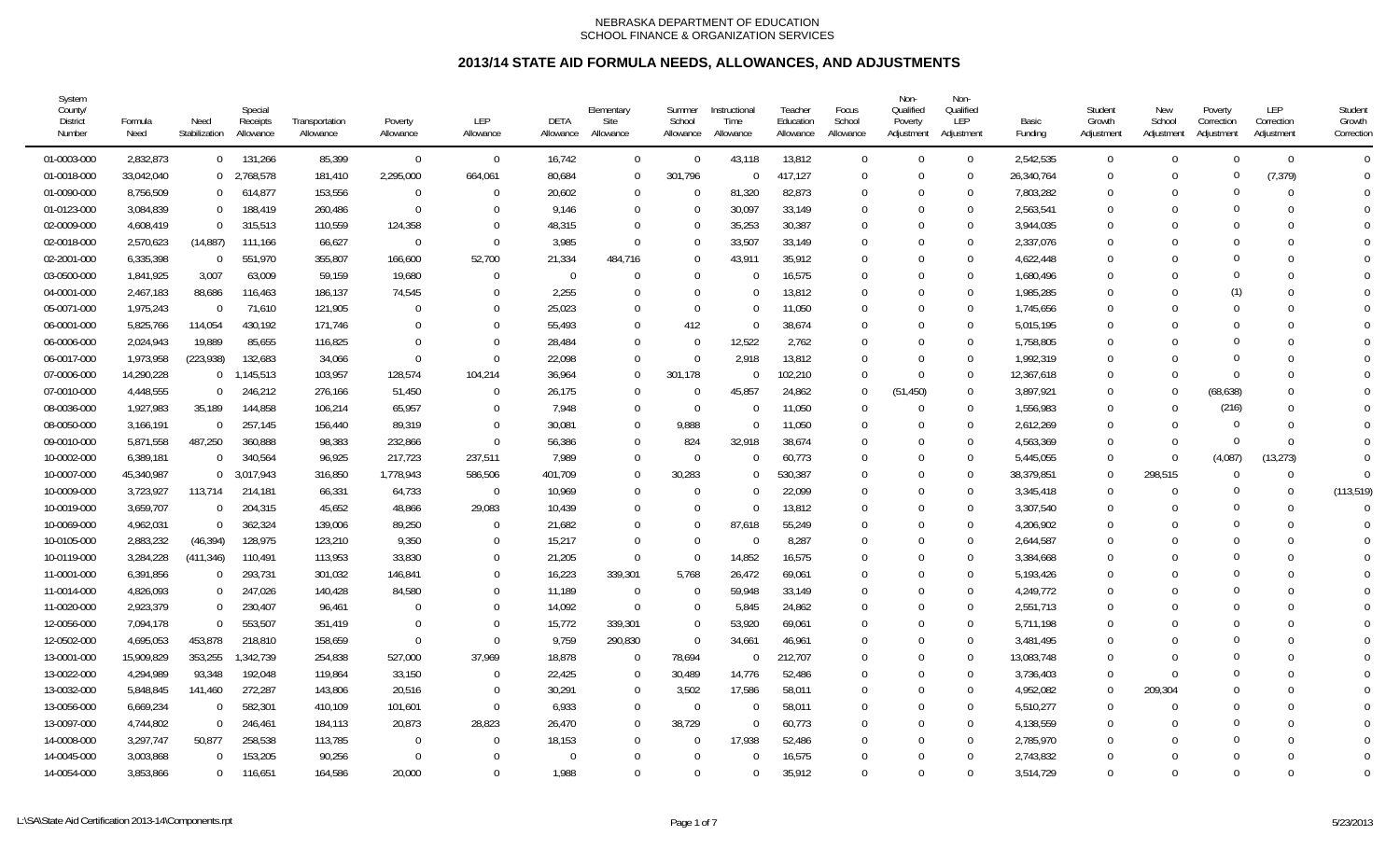| System<br>County/<br><b>District</b><br>Number | Formula<br>Need | Need<br>Stabilization    | Special<br>Receipts<br>Allowance | Transportation<br>Allowance | Poverty<br>Allowance | <b>LEP</b><br>Allowance | DETA<br>Allowance | Elementary<br>Site<br>Allowance | Summer<br>School<br>Allowance | Instructional<br>Time<br>Allowance | Teacher<br>Education<br>Allowance | Focus<br>School<br>Allowance | Non-<br>Qualified<br>Poverty<br>Adjustment | Non-<br>Qualified<br>LEP<br>Adjustment | Basic<br>Fundina | Student<br>Growth<br>Adjustment | New<br>School<br>Adjustment | Poverty<br>Correction<br>Adiustment | LEP<br>Correction<br>Adjustment | Student<br>Growth<br>Correction |
|------------------------------------------------|-----------------|--------------------------|----------------------------------|-----------------------------|----------------------|-------------------------|-------------------|---------------------------------|-------------------------------|------------------------------------|-----------------------------------|------------------------------|--------------------------------------------|----------------------------------------|------------------|---------------------------------|-----------------------------|-------------------------------------|---------------------------------|---------------------------------|
| 01-0003-000                                    | 2,832,873       | $\overline{0}$           | 131,266                          | 85,399                      | $\overline{0}$       | $\overline{0}$          | 16,742            | $\Omega$                        | $\Omega$                      | 43,118                             | 13,812                            | $\overline{0}$               | $\Omega$                                   | $\overline{0}$                         | 2,542,535        | $\mathbf 0$                     | $\Omega$                    | $\Omega$                            | $\Omega$                        | $\overline{0}$                  |
| 01-0018-000                                    | 33,042,040      |                          | $0$ 2,768,578                    | 181,410                     | 2,295,000            | 664,061                 | 80,684            |                                 | 301,796                       | $\Omega$                           | 417,127                           | $\overline{0}$               | $\Omega$                                   | $\mathbf 0$                            | 26,340,764       | $\Omega$                        | $\Omega$                    | $\Omega$                            | (7, 379)                        | $\Omega$                        |
| 01-0090-000                                    | 8,756,509       | $\overline{0}$           | 614,877                          | 153,556                     | $\overline{0}$       | $\Omega$                | 20,602            |                                 | $\Omega$                      | 81,320                             | 82,873                            | $\mathbf 0$                  | $\Omega$                                   | $\mathbf 0$                            | 7,803,282        | $\Omega$                        | $\Omega$                    | $\Omega$                            | $\theta$                        | $\Omega$                        |
| 01-0123-000                                    | 3,084,839       | $\mathbf 0$              | 188,419                          | 260,486                     | $\overline{0}$       | $\Omega$                | 9,146             |                                 | $\Omega$                      | 30,097                             | 33,149                            | 0                            | $\Omega$                                   | $\mathbf 0$                            | 2,563,541        | $\theta$                        | $\Omega$                    |                                     | $\Omega$                        | $\Omega$                        |
| 02-0009-000                                    | 4,608,419       | $\Omega$                 | 315,513                          | 110,559                     | 124,358              | $\Omega$                | 48,315            |                                 | $\Omega$                      | 35,253                             | 30,387                            | 0                            | $\Omega$                                   | $\mathbf 0$                            | 3,944,035        | $\Omega$                        | $\Omega$                    | $\Omega$                            | 0                               | $\Omega$                        |
| 02-0018-000                                    | 2,570,623       | (14, 887)                | 111,166                          | 66,627                      | - 0                  | $\Omega$                | 3,985             |                                 | $\Omega$                      | 33,507                             | 33,149                            | $\Omega$                     | $\Omega$                                   | $\Omega$                               | 2,337,076        | $\Omega$                        |                             | 0                                   | $\Omega$                        | $\Omega$                        |
| 02-2001-000                                    | 6,335,398       | - 0                      | 551,970                          | 355,807                     | 166,600              | 52,700                  | 21,334            | 484,716                         | $\Omega$                      | 43,911                             | 35,912                            | $\Omega$                     | $\Omega$                                   | $\overline{0}$                         | 4,622,448        | $\Omega$                        | $\Omega$                    | 0                                   | $\Omega$                        | $\Omega$                        |
| 03-0500-000                                    | 1,841,925       | 3,007                    | 63,009                           | 59,159                      | 19,680               | $\Omega$                | $\Omega$          |                                 | $\Omega$                      | $\Omega$                           | 16,575                            | $\Omega$                     | $\Omega$                                   | $\Omega$                               | 1,680,496        | $\Omega$                        | $\Omega$                    | 0                                   | $\Omega$                        |                                 |
| 04-0001-000                                    | 2,467,183       | 88,686                   | 116,463                          | 186,137                     | 74,545               | $\Omega$                | 2,255             |                                 | $\Omega$                      | $\Omega$                           | 13,812                            | $\Omega$                     | $\Omega$                                   | $\Omega$                               | 1,985,285        | $\Omega$                        | $\Omega$                    |                                     | $\Omega$                        | $\Omega$                        |
| 05-0071-000                                    | 1,975,243       | $\overline{\phantom{0}}$ | 71,610                           | 121,905                     | $\Omega$             | $\Omega$                | 25,023            |                                 | $\Omega$                      | $\Omega$                           | 11,050                            | $\Omega$                     | $\Omega$                                   | $\Omega$                               | 1,745,656        | $\Omega$                        | $\Omega$                    | $\Omega$                            | 0                               | $\Omega$                        |
| 06-0001-000                                    | 5,825,766       | 114,054                  | 430,192                          | 171,746                     | $\bigcap$            | $\Omega$                | 55,493            |                                 | 412                           | $\Omega$                           | 38,674                            | 0                            | $\Omega$                                   | $\mathbf 0$                            | 5,015,195        | $\Omega$                        |                             | ∩                                   | U                               | $\Omega$                        |
| 06-0006-000                                    | 2,024,943       | 19,889                   | 85,655                           | 116,825                     | $\Omega$             | $\Omega$                | 28,484            |                                 | $\Omega$                      | 12,522                             | 2,762                             | $\Omega$                     | $\Omega$                                   | $\mathbf 0$                            | 1,758,805        | $\theta$                        | $\cap$                      | $\Omega$                            | $\Omega$                        | $\cap$                          |
| 06-0017-000                                    | 1,973,958       | (223, 938)               | 132,683                          | 34,066                      | $\overline{0}$       | $\Omega$                | 22,098            |                                 | $\mathbf 0$                   | 2,918                              | 13,812                            | $\Omega$                     | $\Omega$                                   | $\mathbf 0$                            | 1,992,319        | $\Omega$                        | $\Omega$                    | $\Omega$                            | $\Omega$                        |                                 |
| 07-0006-000                                    | 14,290,228      | $\overline{0}$           | 1,145,513                        | 103,957                     | 128,574              | 104,214                 | 36,964            | $\Omega$                        | 301,178                       | $\Omega$                           | 102,210                           | $\overline{0}$               | $\theta$                                   | $\mathbf 0$                            | 12,367,618       | $\Omega$                        | $\Omega$                    | $\Omega$                            | $\Omega$                        | $\Omega$                        |
| 07-0010-000                                    | 4,448,555       | $\Omega$                 | 246,212                          | 276,166                     | 51,450               | $\Omega$                | 26,175            | $\Omega$                        | $\Omega$                      | 45,857                             | 24,862                            | $\overline{0}$               | (51, 450)                                  | $\mathbf 0$                            | 3,897,921        | $\Omega$                        | $\Omega$                    | (68, 638)                           | $\Omega$                        | $\Omega$                        |
| 08-0036-000                                    | 1,927,983       | 35,189                   | 144,858                          | 106,214                     | 65,957               | $\Omega$                | 7,948             |                                 | $\Omega$                      | <sup>0</sup>                       | 11,050                            | $\Omega$                     | $\Omega$                                   | $\mathbf 0$                            | 1,556,983        | $\Omega$                        | $\Omega$                    | (216)                               | $\Omega$                        | $\Omega$                        |
| 08-0050-000                                    | 3,166,191       | $\Omega$                 | 257,145                          | 156,440                     | 89,319               | $\Omega$                | 30,081            |                                 | 9,888                         | $\Omega$                           | 11,050                            | $\Omega$                     | $\Omega$                                   | $\mathbf 0$                            | 2,612,269        | $\Omega$                        | $\Omega$                    | $\Omega$                            | $\Omega$                        | $\Omega$                        |
| 09-0010-000                                    | 5,871,558       | 487,250                  | 360,888                          | 98,383                      | 232,866              | $\Omega$                | 56,386            |                                 | 824                           | 32,918                             | 38,674                            | $\Omega$                     | $\Omega$                                   | $\Omega$                               | 4,563,369        | $\Omega$                        | $\Omega$                    | $\Omega$                            | $\Omega$                        | $\Omega$                        |
| 10-0002-000                                    | 6,389,181       | $\Omega$                 | 340,564                          | 96,925                      | 217,723              | 237,511                 | 7,989             |                                 | $\Omega$                      | $\Omega$                           | 60,773                            | $\Omega$                     | $\Omega$                                   | $\Omega$                               | 5,445,055        | $\Omega$                        | $\Omega$                    | (4,087)                             | (13, 273)                       | $\Omega$                        |
| 10-0007-000                                    | 45,340,987      | $\overline{0}$           | 3,017,943                        | 316,850                     | 1,778,943            | 586,506                 | 401,709           |                                 | 30,283                        | $\Omega$                           | 530,387                           | $\mathbf 0$                  | $\Omega$                                   | $\mathbf 0$                            | 38,379,851       | $\Omega$                        | 298,515                     | $\Omega$                            | $\mathbf{0}$                    | $\overline{0}$                  |
| 10-0009-000                                    | 3,723,927       | 113,714                  | 214,181                          | 66,331                      | 64,733               | $\Omega$                | 10,969            |                                 | $\Omega$                      | $\Omega$                           | 22,099                            | $\Omega$                     | $\Omega$                                   | $\mathbf 0$                            | 3,345,418        | $\Omega$                        | $\Omega$                    | C                                   | $\Omega$                        | (113, 519)                      |
| 10-0019-000                                    | 3,659,707       | $\overline{0}$           | 204,315                          | 45,652                      | 48,866               | 29,083                  | 10,439            |                                 | $\Omega$                      | $\Omega$                           | 13,812                            | $\mathbf 0$                  | $\Omega$                                   | $\mathbf 0$                            | 3,307,540        | $\Omega$                        | $\Omega$                    | $\Omega$                            | $\theta$                        | $\Omega$                        |
| 10-0069-000                                    | 4,962,031       | $\overline{0}$           | 362,324                          | 139,006                     | 89,250               | $\Omega$                | 21,682            |                                 | $\Omega$                      | 87,618                             | 55,249                            | $\theta$                     | $\Omega$                                   | $\mathbf 0$                            | 4,206,902        | $\Omega$                        |                             | $\Omega$                            | $\Omega$                        | $\Omega$                        |
| 10-0105-000                                    | 2,883,232       | (46, 394)                | 128,975                          | 123,210                     | 9,350                | $\Omega$                | 15,217            |                                 | $\Omega$                      | $\Omega$                           | 8,287                             | $\Omega$                     | $\Omega$                                   | $\Omega$                               | 2,644,587        | $\Omega$                        | $\Omega$                    | 0                                   | $\Omega$                        | $\Omega$                        |
| 10-0119-000                                    | 3,284,228       | (411, 346)               | 110,491                          | 113,953                     | 33,830               | $\Omega$                | 21,205            | $\Omega$                        | $\Omega$                      | 14,852                             | 16,575                            | $\Omega$                     | $\Omega$                                   | $\Omega$                               | 3,384,668        | $\Omega$                        | $\Omega$                    |                                     | $\Omega$                        | $\Omega$                        |
| 11-0001-000                                    | 6,391,856       | $\Omega$                 | 293,731                          | 301,032                     | 146,841              | $\Omega$                | 16,223            | 339,301                         | 5,768                         | 26,472                             | 69,061                            | $\Omega$                     | $\Omega$                                   | $\Omega$                               | 5,193,426        | $\Omega$                        | $\Omega$                    |                                     | 0                               | $\Omega$                        |
| 11-0014-000                                    | 4,826,093       | $\Omega$                 | 247,026                          | 140,428                     | 84,580               | $\Omega$                | 11,189            | - 0                             | $\Omega$                      | 59,948                             | 33,149                            | $\Omega$                     | $\Omega$                                   | $\Omega$                               | 4,249,772        | $\Omega$                        | $\Omega$                    | ∩                                   | $\Omega$                        | $\Omega$                        |
| 11-0020-000                                    | 2,923,379       | $\mathbf 0$              | 230,407                          | 96,461                      | $\bigcap$            | $\Omega$                | 14,092            | $\Omega$                        | $\overline{0}$                | 5,845                              | 24,862                            | 0                            | $\Omega$                                   | $\mathbf 0$                            | 2,551,713        | $\Omega$                        |                             | 0                                   | $\Omega$                        | $\Omega$                        |
| 12-0056-000                                    | 7,094,178       | $\Omega$                 | 553,507                          | 351,419                     | $\overline{0}$       | $\Omega$                | 15,772            | 339,301                         | $\overline{0}$                | 53,920                             | 69,061                            | $\Omega$                     | $\Omega$                                   | $\Omega$                               | 5,711,198        | $\theta$                        | $\Omega$                    | $\Omega$                            | $\Omega$                        | $\Omega$                        |
| 12-0502-000                                    | 4,695,053       | 453,878                  | 218,810                          | 158,659                     | $\overline{0}$       | $\Omega$                | 9,759             | 290,830                         | $\overline{0}$                | 34,661                             | 46,961                            | $\Omega$                     | $\Omega$                                   | $\Omega$                               | 3,481,495        | $\Omega$                        |                             | $\Omega$                            | $\Omega$                        | $\Omega$                        |
| 13-0001-000                                    | 15,909,829      | 353,255                  | 1,342,739                        | 254,838                     | 527,000              | 37,969                  | 18,878            |                                 | 78,694                        | $\Omega$                           | 212,707                           | $\Omega$                     | $\Omega$                                   | $\mathbf 0$                            | 13,083,748       | $\Omega$                        | $\Omega$                    | $\Omega$                            |                                 |                                 |
| 13-0022-000                                    | 4,294,989       | 93,348                   | 192,048                          | 119,864                     | 33,150               | $\Omega$                | 22,425            | - 0                             | 30,489                        | 14,776                             | 52,486                            | $\Omega$                     | $\Omega$                                   | $\mathbf 0$                            | 3,736,403        | $\Omega$                        | $\Omega$                    | $\Omega$                            | 0                               |                                 |
| 13-0032-000                                    | 5,848,845       | 141,460                  | 272,287                          | 143,806                     | 20,516               | $\Omega$                | 30,291            |                                 | 3,502                         | 17,586                             | 58,011                            | $\Omega$                     | $\Omega$                                   | $\mathbf 0$                            | 4,952,082        | $\Omega$                        | 209,304                     | 0                                   | $\Omega$                        | $\Omega$                        |
| 13-0056-000                                    | 6,669,234       | $\Omega$                 | 582,301                          | 410,109                     | 101,601              | $\Omega$                | 6,933             |                                 | $\Omega$                      | $\Omega$                           | 58,011                            | $\Omega$                     | $\Omega$                                   | $\Omega$                               | 5,510,277        | $\Omega$                        | $\Omega$                    | $\Omega$                            | $\Omega$                        | $\Omega$                        |
| 13-0097-000                                    | 4.744.802       | $\Omega$                 | 246,461                          | 184,113                     | 20,873               | 28,823                  | 26,470            |                                 | 38,729                        | $\Omega$                           | 60,773                            | $\Omega$                     | $\Omega$                                   | $\Omega$                               | 4,138,559        | $\Omega$                        | $\Omega$                    | 0                                   | $\Omega$                        | $\Omega$                        |
| 14-0008-000                                    | 3,297,747       | 50,877                   | 258,538                          | 113,785                     | $\Omega$             | $\Omega$                | 18,153            |                                 | $\Omega$                      | 17,938                             | 52,486                            | $\Omega$                     | $\Omega$                                   | $\Omega$                               | 2,785,970        | $\Omega$                        | $\Omega$                    |                                     | $\Omega$                        | $\Omega$                        |
| 14-0045-000                                    | 3,003,868       | $\Omega$                 | 153,205                          | 90,256                      | - 0                  | $\Omega$                | $\Omega$          |                                 | $\Omega$                      | <sup>0</sup>                       | 16,575                            | $\Omega$                     | $\Omega$                                   | $\Omega$                               | 2,743,832        | $\Omega$                        | $\Omega$                    |                                     | U                               | $\Omega$                        |
| 14-0054-000                                    | 3,853,866       | $\overline{0}$           | 116,651                          | 164,586                     | 20,000               | $\Omega$                | 1,988             |                                 | $\Omega$                      | $\Omega$                           | 35,912                            | $\theta$                     | $\cup$                                     | $\Omega$                               | 3,514,729        | $\Omega$                        | $\Omega$                    | $\Omega$                            | $\Omega$                        | $\Omega$                        |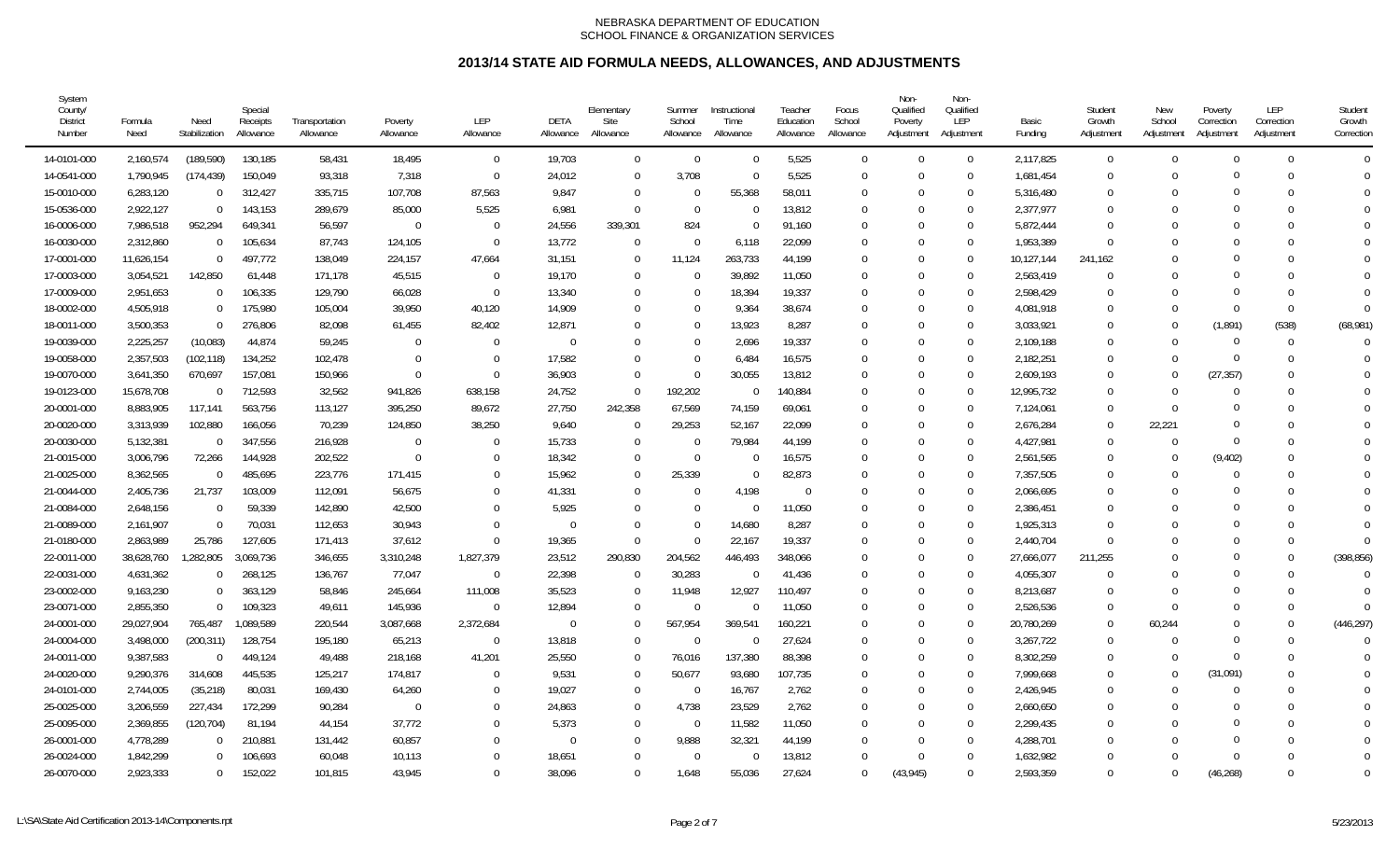| System<br>County/<br><b>District</b><br>Number | Formula<br>Need | Need<br>Stabilization    | Special<br>Receipts<br>Allowance | Transportation<br>Allowance | Poverty<br>Allowance | LEP<br>Allowance | DETA<br>Allowance | Elementary<br>Site<br>Allowance | Summer<br>School<br>Allowance | Instructional<br>Time<br>Allowance | Teacher<br>Education<br>Allowance | Focus<br>School<br>Allowance | Non-<br>Qualified<br>Poverty<br>Adjustment | Non-<br>Qualified<br>LEP<br>Adjustment | Basic<br>Funding | Student<br>Growth<br>Adjustment | New<br>School<br>Adjustment | Poverty<br>Correction<br>Adjustment | LEP<br>Correction<br>Adjustment | Student<br>Growth<br>Correction |
|------------------------------------------------|-----------------|--------------------------|----------------------------------|-----------------------------|----------------------|------------------|-------------------|---------------------------------|-------------------------------|------------------------------------|-----------------------------------|------------------------------|--------------------------------------------|----------------------------------------|------------------|---------------------------------|-----------------------------|-------------------------------------|---------------------------------|---------------------------------|
| 14-0101-000                                    | 2,160,574       | (189, 590)               | 130,185                          | 58,431                      | 18,495               | $\mathbf 0$      | 19,703            | $\Omega$                        | $\Omega$                      | $\Omega$                           | 5,525                             | $\overline{0}$               | $\Omega$                                   | $\overline{0}$                         | 2,117,825        | $\theta$                        | $\Omega$                    | $\theta$                            | $\Omega$                        | $\overline{0}$                  |
| 14-0541-000                                    | 1,790,945       | (174, 439)               | 150,049                          | 93,318                      | 7,318                | $\Omega$         | 24,012            | $\Omega$                        | 3,708                         | $\Omega$                           | 5,525                             | $\Omega$                     | $\theta$                                   | $\Omega$                               | 1,681,454        | $\Omega$                        | <sup>0</sup>                |                                     | $\Omega$                        | $\Omega$                        |
| 15-0010-000                                    | 6,283,120       | $\overline{0}$           | 312,427                          | 335,715                     | 107,708              | 87,563           | 9,847             | $\Omega$                        | $\Omega$                      | 55,368                             | 58,011                            | $\Omega$                     | $\Omega$                                   | $\mathbf 0$                            | 5,316,480        | 0                               | <sup>0</sup>                |                                     | 0                               |                                 |
| 15-0536-000                                    | 2,922,127       | $\overline{0}$           | 143,153                          | 289,679                     | 85,000               | 5,525            | 6,981             | $\Omega$                        | $\Omega$                      | $\Omega$                           | 13,812                            | $\Omega$                     | $\Omega$                                   | $\Omega$                               | 2,377,977        | $\Omega$                        | <sup>0</sup>                |                                     |                                 | $\Omega$                        |
| 16-0006-000                                    | 7,986,518       | 952,294                  | 649,341                          | 56,597                      | $\overline{0}$       | $\mathbf 0$      | 24,556            | 339,301                         | 824                           | $\Omega$                           | 91,160                            | $\Omega$                     | $\Omega$                                   | $\Omega$                               | 5,872,444        | $\Omega$                        | $\Omega$                    |                                     | $\Omega$                        | $\Omega$                        |
| 16-0030-000                                    | 2,312,860       | $\overline{0}$           | 105,634                          | 87,743                      | 124,105              | $\mathbf{0}$     | 13,772            | - 0                             | $\Omega$                      | 6,118                              | 22,099                            | $\Omega$                     | $\Omega$                                   | $\overline{0}$                         | 1,953,389        | $\Omega$                        | $\Omega$                    |                                     | $\Omega$                        | $\Omega$                        |
| 17-0001-000                                    | 11,626,154      | $\overline{0}$           | 497,772                          | 138,049                     | 224,157              | 47,664           | 31,151            | 0                               | 11,124                        | 263,733                            | 44,199                            | $\Omega$                     | $\theta$                                   | $\overline{0}$                         | 10,127,144       | 241,162                         | $\Omega$                    |                                     | $\Omega$                        | $\Omega$                        |
| 17-0003-000                                    | 3,054,521       | 142,850                  | 61,448                           | 171,178                     | 45,515               | $\mathbf 0$      | 19,170            | $\Omega$                        | $\Omega$                      | 39,892                             | 11,050                            | - 0                          | $\Omega$                                   | $\overline{0}$                         | 2,563,419        | $\Omega$                        | $\Omega$                    |                                     | $\Omega$                        |                                 |
| 17-0009-000                                    | 2,951,653       | $\overline{0}$           | 106,335                          | 129,790                     | 66,028               | $\mathbf 0$      | 13,340            | $\Omega$                        | $\Omega$                      | 18,394                             | 19,337                            | $\Omega$                     | $\Omega$                                   | $\overline{0}$                         | 2,598,429        | <sup>0</sup>                    | <sup>0</sup>                |                                     | 0                               | $\Omega$                        |
| 18-0002-000                                    | 4,505,918       | $\overline{0}$           | 175,980                          | 105,004                     | 39,950               | 40,120           | 14,909            | $\Omega$                        | $\Omega$                      | 9,364                              | 38,674                            | $\Omega$                     | $\Omega$                                   | $\Omega$                               | 4,081,918        | $\Omega$                        | $\Omega$                    | $\Omega$                            | $\Omega$                        | $\Omega$                        |
| 18-0011-000                                    | 3,500,353       | $\overline{0}$           | 276,806                          | 82,098                      | 61,455               | 82.402           | 12,871            | $\Omega$                        | $\Omega$                      | 13,923                             | 8,287                             | $\Omega$                     | $\Omega$                                   | $\Omega$                               | 3,033,921        | $\Omega$                        | $\Omega$                    | (1,891)                             | (538)                           | (68,981)                        |
| 19-0039-000                                    | 2,225,257       | (10,083)                 | 44,874                           | 59,245                      | $\Omega$             | $\Omega$         | $\Omega$          | $\Omega$                        | $\Omega$                      | 2,696                              | 19,337                            | $\Omega$                     | $\Omega$                                   | $\overline{0}$                         | 2,109,188        | $\Omega$                        | $\Omega$                    | $\Omega$                            | $\Omega$                        | $\Omega$                        |
| 19-0058-000                                    | 2,357,503       | (102, 118)               | 134,252                          | 102,478                     | - 0                  | $\mathbf 0$      | 17,582            | $\Omega$                        | $\overline{0}$                | 6,484                              | 16,575                            | $\Omega$                     | 0                                          | $\mathbf 0$                            | 2,182,251        | 0                               | $\Omega$                    | $\theta$                            | $\Omega$                        |                                 |
| 19-0070-000                                    | 3,641,350       | 670,697                  | 157,081                          | 150,966                     | $\overline{0}$       | $\Omega$         | 36,903            | $\Omega$                        | $\Omega$                      | 30,055                             | 13,812                            | $\Omega$                     | 0                                          | $\mathbf 0$                            | 2,609,193        | <sup>0</sup>                    | $\Omega$                    | (27, 357)                           | 0                               | $\Omega$                        |
| 19-0123-000                                    | 15,678,708      | $\overline{\phantom{0}}$ | 712,593                          | 32,562                      | 941,826              | 638,158          | 24,752            | $\Omega$                        | 192,202                       | - 0                                | 140,884                           | $\Omega$                     | 0                                          | $\Omega$                               | 12,995,732       | $\theta$                        | $\Omega$                    | $\Omega$                            | 0                               | $\Omega$                        |
| 20-0001-000                                    | 8,883,905       | 117,141                  | 563,756                          | 113,127                     | 395,250              | 89,672           | 27,750            | 242,358                         | 67,569                        | 74,159                             | 69,061                            | $\Omega$                     | $\Omega$                                   | $\Omega$                               | 7,124,061        | $\Omega$                        | $\Omega$                    |                                     |                                 | $\Omega$                        |
| 20-0020-000                                    | 3,313,939       | 102,880                  | 166,056                          | 70,239                      | 124,850              | 38,250           | 9,640             | $\Omega$                        | 29,253                        | 52,167                             | 22,099                            | $\Omega$                     | $\Omega$                                   | $\Omega$                               | 2,676,284        | $\Omega$                        | 22.221                      | 0                                   | $\Omega$                        |                                 |
| 20-0030-000                                    | 5,132,381       | - 0                      | 347,556                          | 216,928                     | - 0                  | $\Omega$         | 15,733            | $\Omega$                        | $\Omega$                      | 79,984                             | 44,199                            | $\Omega$                     | $\Omega$                                   | $\Omega$                               | 4,427,981        | $\Omega$                        | $\Omega$                    | $\Omega$                            | $\Omega$                        | $\Omega$                        |
| 21-0015-000                                    | 3,006,796       | 72,266                   | 144,928                          | 202,522                     | $\overline{0}$       | $\Omega$         | 18,342            | $\Omega$                        | $\Omega$                      | $\Omega$                           | 16,575                            | $\Omega$                     | $\Omega$                                   | $\overline{0}$                         | 2,561,565        | $\Omega$                        | $\Omega$                    | (9, 402)                            |                                 |                                 |
| 21-0025-000                                    | 8,362,565       | $\overline{0}$           | 485,695                          | 223,776                     | 171,415              | $\Omega$         | 15,962            | $\Omega$                        | 25,339                        | $\Omega$                           | 82,873                            | $\Omega$                     | $\Omega$                                   | $\Omega$                               | 7,357,505        | $\Omega$                        | $\Omega$                    | $\Omega$                            | $\Omega$                        | $\Omega$                        |
| 21-0044-000                                    | 2,405,736       | 21,737                   | 103,009                          | 112,091                     | 56,675               | $\Omega$         | 41,331            | $\Omega$                        | $\Omega$                      | 4,198                              | $\Omega$                          | $\Omega$                     | $\Omega$                                   | $\Omega$                               | 2,066,695        | <sup>0</sup>                    | $\Omega$                    |                                     | ∩                               | $\Omega$                        |
| 21-0084-000                                    | 2,648,156       | $\overline{0}$           | 59,339                           | 142,890                     | 42,500               | $\Omega$         | 5,925             | $\Omega$                        | $\Omega$                      | $\Omega$                           | 11,050                            | $\Omega$                     | $\Omega$                                   | $\Omega$                               | 2,386,451        | $\Omega$                        | <sup>0</sup>                | $\Omega$                            | $\Omega$                        | $\Omega$                        |
| 21-0089-000                                    | 2,161,907       | $\overline{0}$           | 70,031                           | 112,653                     | 30,943               | $\Omega$         | $\Omega$          | $\Omega$                        | $\Omega$                      | 14,680                             | 8,287                             | $\Omega$                     | $\Omega$                                   | $\Omega$                               | 1,925,313        | $\Omega$                        | <sup>0</sup>                |                                     | $\Omega$                        | $\Omega$                        |
| 21-0180-000                                    | 2,863,989       | 25,786                   | 127,605                          | 171,413                     | 37,612               | $\Omega$         | 19,365            | $\Omega$                        | $\Omega$                      | 22,167                             | 19,337                            | $\Omega$                     | $\Omega$                                   | $\Omega$                               | 2,440,704        | $\Omega$                        | $\Omega$                    |                                     | $\Omega$                        | $\Omega$                        |
| 22-0011-000                                    | 38,628,760      | 1,282,805                | 3,069,736                        | 346,655                     | 3,310,248            | 1,827,379        | 23,512            | 290,830                         | 204,562                       | 446,493                            | 348,066                           | $\Omega$                     | $\Omega$                                   | $\overline{0}$                         | 27,666,077       | 211,255                         | ∩                           | $\Omega$                            | $\Omega$                        | (398, 856)                      |
| 22-0031-000                                    | 4,631,362       | $\overline{0}$           | 268,125                          | 136,767                     | 77,047               | $\Omega$         | 22,398            | $\Omega$                        | 30,283                        | $\Omega$                           | 41,436                            | $\Omega$                     | $\theta$                                   | $\overline{0}$                         | 4,055,307        | $\Omega$                        | $\Omega$                    |                                     | ∩                               | $\Omega$                        |
| 23-0002-000                                    | 9,163,230       | $\overline{0}$           | 363,129                          | 58,846                      | 245,664              | 111,008          | 35,523            | $\Omega$                        | 11,948                        | 12,927                             | 110,497                           | $\Omega$                     | $\Omega$                                   | $\overline{0}$                         | 8,213,687        | 0                               | $\Omega$                    | $\Omega$                            | $\Omega$                        | $\Omega$                        |
| 23-0071-000                                    | 2,855,350       | $\overline{0}$           | 109,323                          | 49,611                      | 145,936              | $\Omega$         | 12,894            | -0                              | $\Omega$                      | $\Omega$                           | 11,050                            | $\Omega$                     | $\Omega$                                   | $\mathbf{0}$                           | 2,526,536        | $\Omega$                        | $\Omega$                    |                                     | $\Omega$                        | $\Omega$                        |
| 24-0001-000                                    | 29,027,904      | 765,487                  | 1,089,589                        | 220,544                     | 3,087,668            | 2,372,684        | $\Omega$          | $\Omega$                        | 567,954                       | 369,541                            | 160,221                           |                              | $\Omega$                                   | $\Omega$                               | 20,780,269       | $\Omega$                        | 60,244                      | 0                                   | $\Omega$                        | (446, 297)                      |
| 24-0004-000                                    | 3,498,000       | (200, 311)               | 128,754                          | 195,180                     | 65,213               | $\Omega$         | 13,818            | $\Omega$                        | $\Omega$                      | $\Omega$                           | 27,624                            | $\Omega$                     | $\Omega$                                   | $\Omega$                               | 3,267,722        | $\Omega$                        | <sup>0</sup>                | $\Omega$                            | $\Omega$                        | $\Omega$                        |
| 24-0011-000                                    | 9,387,583       | $\overline{0}$           | 449,124                          | 49,488                      | 218,168              | 41,201           | 25,550            | $\cap$                          | 76,016                        | 137,380                            | 88,398                            | $\Omega$                     | $\Omega$                                   | $\overline{0}$                         | 8,302,259        | $\Omega$                        | $\Omega$                    | $\Omega$                            | $\Omega$                        |                                 |
| 24-0020-000                                    | 9,290,376       | 314,608                  | 445,535                          | 125,217                     | 174,817              | $\Omega$         | 9,531             | $\Omega$                        | 50,677                        | 93,680                             | 107,735                           | $\Omega$                     | $\Omega$                                   | $\overline{0}$                         | 7,999,668        | $\Omega$                        | $\Omega$                    | (31,091)                            | $\Omega$                        |                                 |
| 24-0101-000                                    | 2,744,005       | (35, 218)                | 80,031                           | 169,430                     | 64,260               | $\Omega$         | 19,027            | $\Omega$                        | $\Omega$                      | 16,767                             | 2,762                             | $\Omega$                     | $\Omega$                                   | $\mathbf{0}$                           | 2,426,945        | $\Omega$                        | $\Omega$                    | $\Omega$                            |                                 | $\Omega$                        |
| 25-0025-000                                    | 3,206,559       | 227,434                  | 172,299                          | 90,284                      | $\overline{0}$       | $\theta$         | 24,863            | $\Omega$                        | 4,738                         | 23,529                             | 2,762                             | $\Omega$                     | $\Omega$                                   | $\Omega$                               | 2,660,650        | $\Omega$                        | $\Omega$                    | 0                                   |                                 | $\Omega$                        |
| 25-0095-000                                    | 2,369,855       | (120, 704)               | 81,194                           | 44,154                      | 37,772               | $\Omega$         | 5,373             | $\Omega$                        | $\Omega$                      | 11,582                             | 11,050                            | $\Omega$                     | $\Omega$                                   | $\Omega$                               | 2,299,435        | $\Omega$                        | ∩                           |                                     | $\Omega$                        | $\Omega$                        |
| 26-0001-000                                    | 4,778,289       | $\Omega$                 | 210,881                          | 131,442                     | 60,857               | $\Omega$         | $\Omega$          | $\Omega$                        | 9,888                         | 32,321                             | 44,199                            | $\Omega$                     | $\Omega$                                   | $\Omega$                               | 4,288,701        | <sup>0</sup>                    | $\Omega$                    |                                     |                                 | $\Omega$                        |
| 26-0024-000                                    | 1,842,299       | $\Omega$                 | 106,693                          | 60,048                      | 10,113               | $\Omega$         | 18,651            | $\Omega$                        | $\Omega$                      |                                    | 13,812                            | $\Omega$                     | $\Omega$                                   | $\Omega$                               | 1,632,982        | <sup>0</sup>                    | $\Omega$                    |                                     | ∩                               | $\Omega$                        |
| 26-0070-000                                    | 2,923,333       | $\overline{0}$           | 152,022                          | 101,815                     | 43,945               | $\cup$           | 38,096            | $\Omega$                        | 1,648                         | 55,036                             | 27,624                            | $\Omega$                     | (43, 945)                                  | $\Omega$                               | 2,593,359        | $\Omega$                        | $\theta$                    | (46, 268)                           | $\Omega$                        | $\Omega$                        |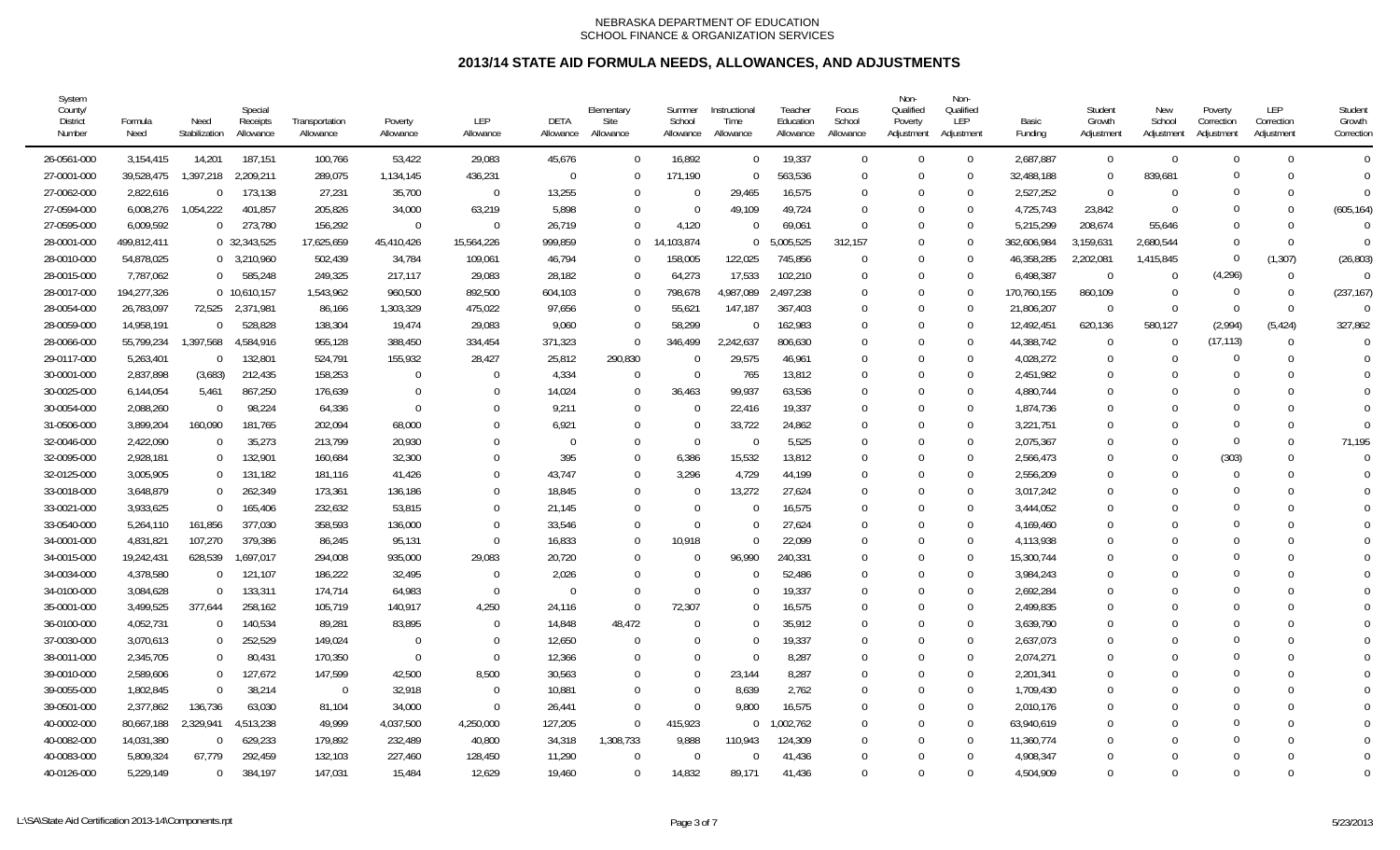| System<br>County/<br><b>District</b><br>Number | Formula<br>Need | Need<br>Stabilization | Special<br>Receipts<br>Allowance | Transportation<br>Allowance | Poverty<br>Allowance | LEP<br>Allowance | DETA<br>Allowance | Elementary<br>Site<br>Allowance | Summer<br>School<br>Allowance | Instructional<br>Time<br>Allowance | Teacher<br>Education<br>Allowance | Focus<br>School<br>Allowance | Non-<br>Qualified<br>Poverty<br>Adjustment | Non-<br>Qualified<br>LEP<br>Adjustment | Basic<br>Fundina | Student<br>Growth<br>Adjustment | New<br>School<br>Adjustment | Poverty<br>Correction<br>Adjustment | <b>LEP</b><br>Correction<br>Adjustment | Student<br>Growth<br>Correction |
|------------------------------------------------|-----------------|-----------------------|----------------------------------|-----------------------------|----------------------|------------------|-------------------|---------------------------------|-------------------------------|------------------------------------|-----------------------------------|------------------------------|--------------------------------------------|----------------------------------------|------------------|---------------------------------|-----------------------------|-------------------------------------|----------------------------------------|---------------------------------|
| 26-0561-000                                    | 3,154,415       | 14.201                | 187,151                          | 100,766                     | 53,422               | 29,083           | 45,676            | $\Omega$                        | 16,892                        | $\Omega$                           | 19,337                            | $\Omega$                     | $\Omega$                                   | $\overline{0}$                         | 2,687,887        | $\Omega$                        | $\Omega$                    | $\Omega$                            | $\Omega$                               | $\Omega$                        |
| 27-0001-000                                    | 39,528,475      | 1,397,218             | 2,209,211                        | 289,075                     | 1,134,145            | 436,231          | $\Omega$          | $\Omega$                        | 171,190                       |                                    | 563,536                           | $\Omega$                     | $\Omega$                                   | $\overline{0}$                         | 32,488,188       | $\Omega$                        | 839.681                     | $\Omega$                            | $\Omega$                               | $\Omega$                        |
| 27-0062-000                                    | 2,822,616       | $\overline{0}$        | 173,138                          | 27,231                      | 35,700               | $\Omega$         | 13,255            | $\Omega$                        | $\Omega$                      | 29,465                             | 16,575                            | $\Omega$                     | 0                                          | $\Omega$                               | 2,527,252        | $\Omega$                        | $\Omega$                    |                                     | $\Omega$                               | $\Omega$                        |
| 27-0594-000                                    | 6,008,276       | 1,054,222             | 401,857                          | 205,826                     | 34,000               | 63,219           | 5,898             | $\Omega$                        | $\Omega$                      | 49,109                             | 49,724                            | $\Omega$                     | 0                                          | $\overline{0}$                         | 4,725,743        | 23,842                          | $\Omega$                    |                                     | $\Omega$                               | (605, 164)                      |
| 27-0595-000                                    | 6,009,592       | $\Omega$              | 273,780                          | 156,292                     | $\overline{0}$       | $\mathbf{0}$     | 26,719            | $\Omega$                        | 4,120                         |                                    | 69,061                            | $\Omega$                     | 0                                          | $\Omega$                               | 5,215,299        | 208,674                         | 55,646                      | $\Omega$                            | $\Omega$                               | $\Omega$                        |
| 28-0001-000                                    | 499,812,411     |                       | 0 32,343,525                     | 17,625,659                  | 45,410,426           | 15,564,226       | 999,859           | $\Omega$                        | 14,103,874                    |                                    | 5,005,525                         | 312,157                      | 0                                          | $\overline{0}$                         | 362,606,984      | 3,159,631                       | 2,680,544                   | $\Omega$                            | $\Omega$                               | $\Omega$                        |
| 28-0010-000                                    | 54,878,025      |                       | $0$ 3,210,960                    | 502,439                     | 34,784               | 109,061          | 46,794            | $\Omega$                        | 158,005                       | 122,025                            | 745,856                           |                              | $\Omega$                                   | $\overline{0}$                         | 46,358,285       | 2,202,081                       | 1,415,845                   | $\Omega$                            | (1, 307)                               | (26, 803)                       |
| 28-0015-000                                    | 7,787,062       | $\overline{0}$        | 585,248                          | 249,325                     | 217,117              | 29,083           | 28,182            | $\Omega$                        | 64,273                        | 17,533                             | 102,210                           |                              | 0                                          | $\overline{0}$                         | 6,498,387        | $\overline{0}$                  | $\Omega$                    | (4, 296)                            | $\Omega$                               | $\Omega$                        |
| 28-0017-000                                    | 194,277,326     |                       | 0 10,610,157                     | 1,543,962                   | 960,500              | 892,500          | 604,103           | $\Omega$                        | 798,678                       | 4,987,089                          | 2,497,238                         | $\Omega$                     | 0                                          | $\overline{0}$                         | 170,760,155      | 860,109                         | $\Omega$                    | $\Omega$                            | $\Omega$                               | (237, 167)                      |
| 28-0054-000                                    | 26,783,097      | 72,525                | 2,371,981                        | 86,166                      | 1,303,329            | 475,022          | 97,656            | $\Omega$                        | 55,621                        | 147,187                            | 367,403                           |                              | O                                          | $\Omega$                               | 21,806,207       | $\Omega$                        | $\Omega$                    | $\Omega$                            | $\Omega$                               | $\Omega$                        |
| 28-0059-000                                    | 14,958,191      | $\Omega$              | 528,828                          | 138,304                     | 19,474               | 29,083           | 9,060             | $\Omega$                        | 58,299                        |                                    | 162,983                           |                              | 0                                          | $\Omega$                               | 12,492,451       | 620,136                         | 580,127                     | (2,994)                             | (5, 424)                               | 327,862                         |
| 28-0066-000                                    | 55,799,234      | 1,397,568             | 4,584,916                        | 955,128                     | 388,450              | 334,454          | 371,323           | $\Omega$                        | 346,499                       | 2,242,637                          | 806,630                           |                              | 0                                          | $\Omega$                               | 44,388,742       | $\Omega$                        | $\Omega$                    | (17, 113)                           | $\Omega$                               |                                 |
| 29-0117-000                                    | 5,263,401       | $\overline{0}$        | 132,801                          | 524,791                     | 155,932              | 28,427           | 25,812            | 290,830                         | $\Omega$                      | 29,575                             | 46,961                            | $\Omega$                     | 0                                          | $\Omega$                               | 4,028,272        | 0                               | $\Omega$                    |                                     | $\Omega$                               | $\Omega$                        |
| 30-0001-000                                    | 2,837,898       | (3,683)               | 212,435                          | 158,253                     | $\overline{0}$       | $\Omega$         | 4,334             | $\Omega$                        | $\Omega$                      | 765                                | 13,812                            | $\Omega$                     |                                            | $\overline{0}$                         | 2,451,982        | $\Omega$                        |                             |                                     | $\Omega$                               |                                 |
| 30-0025-000                                    | 6,144,054       | 5,461                 | 867,250                          | 176,639                     | $\overline{0}$       | $\mathbf 0$      | 14,024            | $\Omega$                        | 36,463                        | 99,937                             | 63,536                            | $\Omega$                     |                                            | $\overline{0}$                         | 4,880,744        | 0                               |                             |                                     | $\Omega$                               | $\Omega$                        |
| 30-0054-000                                    | 2,088,260       | $\Omega$              | 98,224                           | 64,336                      | $\overline{0}$       | $\Omega$         | 9,211             | $\Omega$                        | $\Omega$                      | 22,416                             | 19,337                            | $\cup$                       | C                                          | $\overline{0}$                         | 1,874,736        | U                               |                             |                                     | $\Omega$                               |                                 |
| 31-0506-000                                    | 3,899,204       | 160,090               | 181,765                          | 202,094                     | 68,000               | $\Omega$         | 6,921             | $\Omega$                        | $\Omega$                      | 33,722                             | 24,862                            |                              | 0                                          | $\overline{0}$                         | 3,221,751        | 0                               | $\bigcap$                   | $\Omega$                            | $\Omega$                               | $\Omega$                        |
| 32-0046-000                                    | 2,422,090       | $\mathbf 0$           | 35,273                           | 213,799                     | 20,930               | $\Omega$         | $\Omega$          | $\Omega$                        | $\Omega$                      | - 0                                | 5,525                             | $\Omega$                     | 0                                          | $\overline{0}$                         | 2,075,367        | $\Omega$                        | $\Omega$                    | $\Omega$                            | $\Omega$                               | 71,195                          |
| 32-0095-000                                    | 2,928,181       | $\overline{0}$        | 132,901                          | 160,684                     | 32,300               | $\Omega$         | 395               | $\Omega$                        | 6,386                         | 15,532                             | 13,812                            | $\Omega$                     |                                            | $\overline{0}$                         | 2,566,473        |                                 | $\Omega$                    | (303)                               | $\Omega$                               | $\Omega$                        |
| 32-0125-000                                    | 3,005,905       | $\overline{0}$        | 131,182                          | 181,116                     | 41,426               | $\Omega$         | 43,747            | $\Omega$                        | 3,296                         | 4,729                              | 44,199                            |                              |                                            | $\Omega$                               | 2,556,209        | 0                               |                             | $\Omega$                            | $\Omega$                               | $\Omega$                        |
| 33-0018-000                                    | 3,648,879       | $\overline{0}$        | 262,349                          | 173,361                     | 136,186              | $\Omega$         | 18,845            | $\Omega$                        | $\Omega$                      | 13,272                             | 27,624                            |                              | ſ                                          | $\Omega$                               | 3,017,242        | 0                               |                             |                                     | $\Omega$                               |                                 |
| 33-0021-000                                    | 3,933,625       | $\overline{0}$        | 165,406                          | 232,632                     | 53,815               | $\Omega$         | 21,145            | $\Omega$                        | $\Omega$                      |                                    | 16,575                            |                              | O                                          | $\Omega$                               | 3,444,052        | 0                               |                             |                                     | $\Omega$                               |                                 |
| 33-0540-000                                    | 5,264,110       | 161,856               | 377,030                          | 358,593                     | 136,000              | $\Omega$         | 33,546            | $\Omega$                        | $\Omega$                      |                                    | 27,624                            |                              |                                            | $\overline{0}$                         | 4.169.460        |                                 |                             |                                     | $\Omega$                               |                                 |
| 34-0001-000                                    | 4,831,821       | 107,270               | 379,386                          | 86,245                      | 95,131               | $\Omega$         | 16,833            | $\Omega$                        | 10,918                        |                                    | 22,099                            | $\Omega$                     |                                            | $\Omega$                               | 4,113,938        | $\Omega$                        |                             |                                     | $\Omega$                               | $\Omega$                        |
| 34-0015-000                                    | 19,242,431      | 628,539               | 1,697,017                        | 294,008                     | 935,000              | 29,083           | 20,720            | $\Omega$                        | $\Omega$                      | 96,990                             | 240,331                           | $\Omega$                     |                                            | $\overline{0}$                         | 15,300,744       | 0                               |                             |                                     | $\Omega$                               | $\Omega$                        |
| 34-0034-000                                    | 4,378,580       | $\Omega$              | 121,107                          | 186,222                     | 32,495               | $\mathbf 0$      | 2,026             | $\Omega$                        | $\Omega$                      |                                    | 52,486                            | $\Omega$                     | C                                          | $\overline{0}$                         | 3,984,243        | U                               |                             |                                     | $\Omega$                               |                                 |
| 34-0100-000                                    | 3,084,628       | $\Omega$              | 133,311                          | 174,714                     | 64,983               | $\mathbf 0$      | $\Omega$          | $\Omega$                        | $\Omega$                      |                                    | 19,337                            |                              | $\Omega$                                   | $\overline{0}$                         | 2,692,284        | 0                               |                             |                                     | $\Omega$                               |                                 |
| 35-0001-000                                    | 3,499,525       | 377,644               | 258,162                          | 105,719                     | 140,917              | 4,250            | 24,116            | $\Omega$                        | 72,307                        |                                    | 16,575                            | $\Omega$                     | $\Omega$                                   | $\overline{0}$                         | 2,499,835        | $\Omega$                        | $\Omega$                    |                                     | $\Omega$                               | $\Omega$                        |
| 36-0100-000                                    | 4,052,731       | 0                     | 140,534                          | 89,281                      | 83,895               | $\Omega$         | 14,848            | 48,472                          | $\Omega$                      |                                    | 35,912                            | $\Omega$                     |                                            | $\overline{0}$                         | 3,639,790        |                                 |                             |                                     |                                        | $\Omega$                        |
| 37-0030-000                                    | 3,070,613       | $\overline{0}$        | 252,529                          | 149,024                     | - 0                  | $\Omega$         | 12,650            | - 0                             | $\Omega$                      |                                    | 19,337                            | $\Omega$                     |                                            | $\Omega$                               | 2,637,073        | 0                               |                             |                                     | $\Omega$                               | $\Omega$                        |
| 38-0011-000                                    | 2,345,705       | $\overline{0}$        | 80,431                           | 170,350                     | - 0                  | $\Omega$         | 12,366            | $\Omega$                        |                               | $\Omega$                           | 8,287                             |                              | O                                          | $\Omega$                               | 2,074,271        | 0                               |                             |                                     |                                        |                                 |
| 39-0010-000                                    | 2,589,606       | $\overline{0}$        | 127,672                          | 147,599                     | 42,500               | 8,500            | 30,563            | $\Omega$                        | $\Omega$                      | 23,144                             | 8,287                             |                              | 0                                          | $\Omega$                               | 2,201,341        | 0                               |                             |                                     | $\Omega$                               |                                 |
| 39-0055-000                                    | 1,802,845       | $\overline{0}$        | 38,214                           | - 0                         | 32,918               | $\Omega$         | 10,881            | $\Omega$                        | $\Omega$                      | 8,639                              | 2,762                             |                              | 0                                          | $\overline{0}$                         | 1.709.430        | 0                               |                             |                                     | $\Omega$                               |                                 |
| 39-0501-000                                    | 2,377,862       | 136,736               | 63,030                           | 81,104                      | 34,000               | $\Omega$         | 26,441            | $\Omega$                        | $\Omega$                      | 9.800                              | 16,575                            | $\Omega$                     |                                            | $\Omega$                               | 2,010,176        | $\Omega$                        |                             |                                     | $\Omega$                               | $\Omega$                        |
| 40-0002-000                                    | 80,667,188      | 2,329,941             | 4,513,238                        | 49,999                      | 4,037,500            | 4,250,000        | 127,205           | $\Omega$                        | 415,923                       | $\Omega$                           | 1,002,762                         |                              |                                            | $\overline{0}$                         | 63,940,619       | 0                               |                             |                                     | $\Omega$                               |                                 |
| 40-0082-000                                    | 14,031,380      | $\Omega$              | 629,233                          | 179,892                     | 232,489              | 40,800           | 34,318            | 1,308,733                       | 9,888                         | 110,943                            | 124,309                           |                              |                                            | $\overline{0}$                         | 11,360,774       | N                               |                             |                                     | $\Omega$                               |                                 |
| 40-0083-000                                    | 5,809,324       | 67,779                | 292,459                          | 132,103                     | 227,460              | 128,450          | 11,290            | $\Omega$                        | $\Omega$                      |                                    | 41,436                            |                              | 0                                          | $\overline{0}$                         | 4,908,347        | U                               | ſ                           | $\Omega$                            | $\Omega$                               |                                 |
| 40-0126-000                                    | 5,229,149       | $\Omega$              | 384.197                          | 147,031                     | 15,484               | 12,629           | 19,460            | $\Omega$                        | 14,832                        | 89.171                             | 41.436                            |                              | $\Omega$                                   | $\Omega$                               | 4,504,909        | $\Omega$                        | $\Omega$                    |                                     | $\Omega$                               | $\Omega$                        |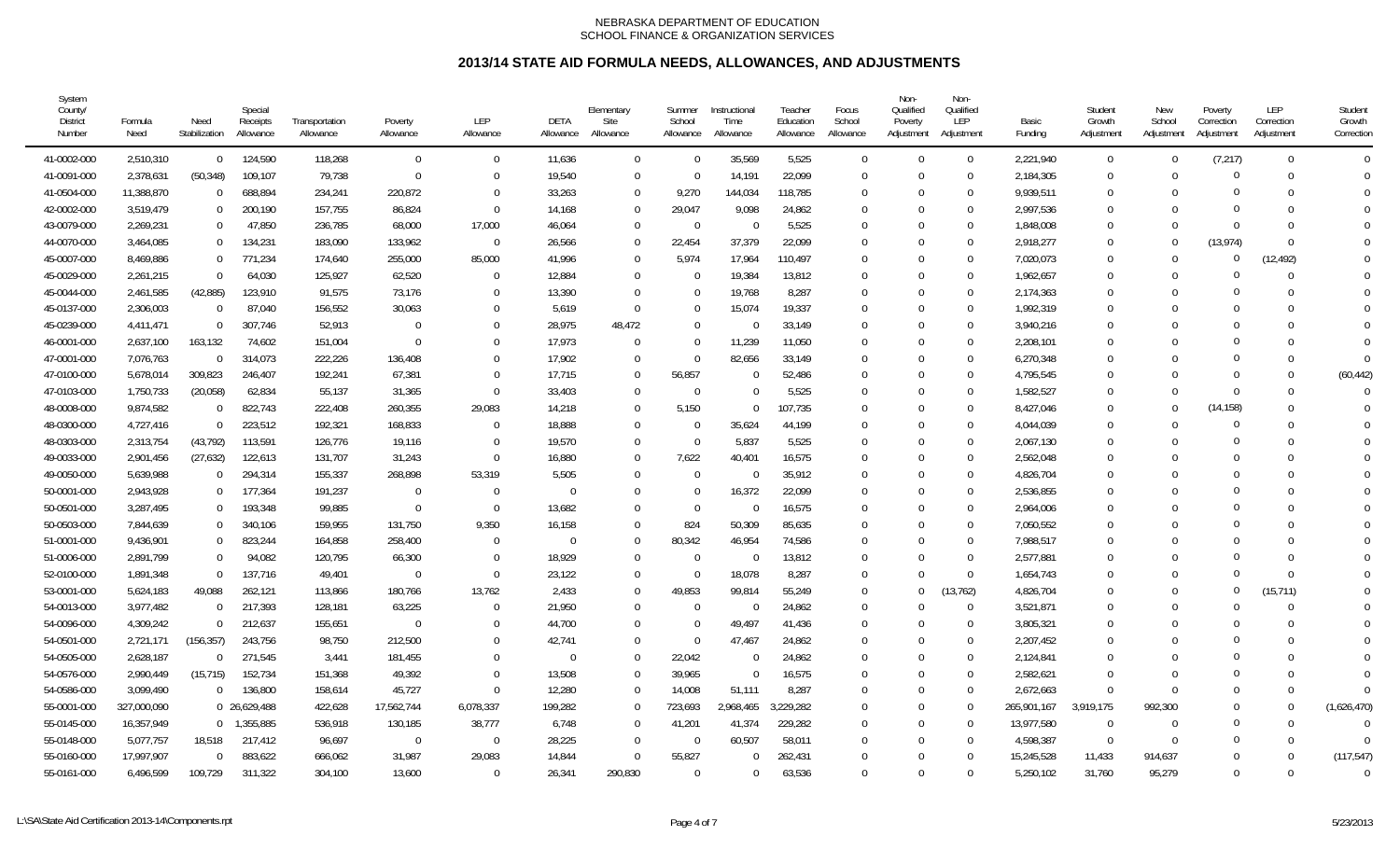| System<br>County/<br><b>District</b><br>Number | Formula<br>Need | Need<br>Stabilization | Special<br>Receipts<br>Allowance | Transportation<br>Allowance | Poverty<br>Allowance | <b>LEP</b><br>Allowance | DETA<br>Allowance | Elementary<br>Site<br>Allowance | Summer<br>School<br>Allowance | Instructional<br>Time<br>Allowance | Teacher<br>Education<br>Allowance | Focus<br>School<br>Allowance | Non-<br>Qualified<br>Poverty<br>Adjustment | Non-<br>Qualified<br>LEP<br>Adjustment | Basic<br>Funding | Student<br>Growth<br>Adjustment | New<br>School<br>Adjustment | Poverty<br>Correction<br>Adjustment | LEP<br>Correction<br>Adjustment | Student<br>Growth<br>Correction |
|------------------------------------------------|-----------------|-----------------------|----------------------------------|-----------------------------|----------------------|-------------------------|-------------------|---------------------------------|-------------------------------|------------------------------------|-----------------------------------|------------------------------|--------------------------------------------|----------------------------------------|------------------|---------------------------------|-----------------------------|-------------------------------------|---------------------------------|---------------------------------|
| 41-0002-000                                    | 2,510,310       | $\overline{0}$        | 124,590                          | 118,268                     | $\overline{0}$       | $\Omega$                | 11,636            | $\Omega$                        | $\Omega$                      | 35,569                             | 5,525                             | $\Omega$                     | $\Omega$                                   | $\overline{0}$                         | 2,221,940        | $\mathbf 0$                     | $\Omega$                    | (7, 217)                            | $\Omega$                        | $\Omega$                        |
| 41-0091-000                                    | 2,378,631       | (50, 348)             | 109,107                          | 79,738                      | $\overline{0}$       | $\Omega$                | 19.540            |                                 | $\Omega$                      | 14.191                             | 22,099                            | $\Omega$                     | $\Omega$                                   | $\Omega$                               | 2,184,305        | $\Omega$                        | $\Omega$                    | 0                                   | $\Omega$                        | $\Omega$                        |
| 41-0504-000                                    | 11,388,870      | $\mathbf 0$           | 688,894                          | 234,241                     | 220,872              | $\Omega$                | 33,263            |                                 | 9,270                         | 144,034                            | 118,785                           | $\Omega$                     | $\Omega$                                   | $\Omega$                               | 9,939,511        | $\Omega$                        | $\Omega$                    | $\Omega$                            | $\Omega$                        | $\Omega$                        |
| 42-0002-000                                    | 3,519,479       | $\mathbf 0$           | 200,190                          | 157,755                     | 86,824               | $\mathbf{0}$            | 14,168            |                                 | 29,047                        | 9,098                              | 24,862                            | 0                            | $\mathbf 0$                                | $\mathbf 0$                            | 2,997,536        | $\Omega$                        |                             | $\Omega$                            | $\Omega$                        | $\Omega$                        |
| 43-0079-000                                    | 2,269,231       | $\mathbf 0$           | 47,850                           | 236,785                     | 68,000               | 17,000                  | 46,064            | $\cap$                          | $\overline{0}$                | $\Omega$                           | 5,525                             | $\mathbf 0$                  | $\Omega$                                   | $\mathbf 0$                            | 1,848,008        | $\Omega$                        | $\Omega$                    | $\Omega$                            | $\Omega$                        | $\Omega$                        |
| 44-0070-000                                    | 3,464,085       | $\mathbf 0$           | 134,231                          | 183,090                     | 133,962              | $\Omega$                | 26,566            |                                 | 22,454                        | 37,379                             | 22,099                            | $\theta$                     | $\Omega$                                   | $\mathbf 0$                            | 2,918,277        | $\theta$                        | $\Omega$                    | (13, 974)                           | $\Omega$                        | $\Omega$                        |
| 45-0007-000                                    | 8,469,886       | $\Omega$              | 771,234                          | 174,640                     | 255,000              | 85,000                  | 41,996            |                                 | 5,974                         | 17,964                             | 110,497                           | $\theta$                     | $\Omega$                                   | $\overline{0}$                         | 7,020,073        | $\theta$                        | $\Omega$                    | $\Omega$                            | (12, 492)                       | $\Omega$                        |
| 45-0029-000                                    | 2,261,215       | $\overline{0}$        | 64,030                           | 125,927                     | 62,520               | $\Omega$                | 12,884            |                                 | $\Omega$                      | 19,384                             | 13,812                            | $\theta$                     | $\Omega$                                   | $\mathbf 0$                            | 1,962,657        | $\theta$                        | $\Omega$                    | C                                   | $\theta$                        | $\Omega$                        |
| 45-0044-000                                    | 2,461,585       | (42, 885)             | 123,910                          | 91,575                      | 73,176               | $\Omega$                | 13,390            | $\Omega$                        | $\Omega$                      | 19,768                             | 8,287                             | $\Omega$                     | $\Omega$                                   | $\mathbf 0$                            | 2,174,363        | $\Omega$                        | $\Omega$                    |                                     | $\Omega$                        | $\Omega$                        |
| 45-0137-000                                    | 2,306,003       | $\overline{0}$        | 87,040                           | 156,552                     | 30,063               | $\Omega$                | 5,619             | $\Omega$                        | $\Omega$                      | 15,074                             | 19,337                            | 0                            | $\Omega$                                   | $\Omega$                               | 1,992,319        | $\Omega$                        |                             | 0                                   | $\Omega$                        | $\Omega$                        |
| 45-0239-000                                    | 4,411,471       | $\Omega$              | 307,746                          | 52,913                      | - 0                  | $\Omega$                | 28,975            | 48,472                          | $\Omega$                      | $\Omega$                           | 33,149                            | $\Omega$                     | $\Omega$                                   | $\Omega$                               | 3,940,216        | $\Omega$                        |                             | 0                                   | $\Omega$                        | $\Omega$                        |
| 46-0001-000                                    | 2,637,100       | 163,132               | 74,602                           | 151,004                     | $\overline{0}$       | $\Omega$                | 17.973            |                                 | $\Omega$                      | 11,239                             | 11,050                            | $\Omega$                     | $\Omega$                                   | $\Omega$                               | 2,208,101        | $\Omega$                        | $\Omega$                    | $\Omega$                            | $\Omega$                        | $\Omega$                        |
| 47-0001-000                                    | 7,076,763       | $\overline{0}$        | 314,073                          | 222,226                     | 136,408              | $\Omega$                | 17,902            |                                 | $\mathbf 0$                   | 82,656                             | 33,149                            | $\Omega$                     | $\Omega$                                   | $\Omega$                               | 6,270,348        | $\Omega$                        | $\Omega$                    | $\Omega$                            | $\Omega$                        | $\Omega$                        |
| 47-0100-000                                    | 5,678,014       | 309,823               | 246,407                          | 192,241                     | 67,381               | $\Omega$                | 17,715            |                                 | 56,857                        | $\Omega$                           | 52,486                            | 0                            | $\Omega$                                   | $\mathbf 0$                            | 4,795,545        | $\Omega$                        |                             | $\Omega$                            | $\mathbf 0$                     | (60, 442)                       |
| 47-0103-000                                    | 1,750,733       | (20, 058)             | 62,834                           | 55,137                      | 31,365               | $\mathbf 0$             | 33,403            | $\Omega$                        | $\Omega$                      | $\Omega$                           | 5,525                             | $\mathbf 0$                  | $\Omega$                                   | $\mathbf 0$                            | 1,582,527        | 0                               | $\Omega$                    | $\Omega$                            | $\mathbf 0$                     | $\Omega$                        |
| 48-0008-000                                    | 9,874,582       | $\Omega$              | 822,743                          | 222,408                     | 260,355              | 29,083                  | 14,218            |                                 | 5,150                         | $\Omega$                           | 107,735                           | $\Omega$                     | $\Omega$                                   | $\overline{0}$                         | 8,427,046        | $\Omega$                        | $\Omega$                    | (14, 158)                           | $\Omega$                        | $\Omega$                        |
| 48-0300-000                                    | 4,727,416       | $\Omega$              | 223,512                          | 192,321                     | 168,833              | $\Omega$                | 18,888            |                                 | $\Omega$                      | 35,624                             | 44,199                            | $\theta$                     | $\Omega$                                   | $\mathbf 0$                            | 4,044,039        | $\theta$                        | $\Omega$                    | $\Omega$                            | $\Omega$                        | $\Omega$                        |
| 48-0303-000                                    | 2,313,754       | (43, 792)             | 113,591                          | 126,776                     | 19,116               | $\Omega$                | 19,570            |                                 | $\Omega$                      | 5,837                              | 5,525                             | $\theta$                     | $\Omega$                                   | $\mathbf 0$                            | 2,067,130        | $\theta$                        | $\Omega$                    | $\Omega$                            | $\Omega$                        | $\Omega$                        |
| 49-0033-000                                    | 2,901,456       | (27, 632)             | 122,613                          | 131,707                     | 31,243               | $\Omega$                | 16,880            |                                 | 7,622                         | 40,401                             | 16,575                            | $\Omega$                     | $\Omega$                                   | $\mathbf 0$                            | 2,562,048        | $\Omega$                        |                             | $\Omega$                            | $\Omega$                        | $\Omega$                        |
| 49-0050-000                                    | 5,639,988       | $\Omega$              | 294,314                          | 155,337                     | 268,898              | 53,319                  | 5,505             |                                 | $\Omega$                      | - 0                                | 35,912                            | 0                            | $\Omega$                                   | $\Omega$                               | 4,826,704        | $\Omega$                        |                             | 0                                   | 0                               | $\Omega$                        |
| 50-0001-000                                    | 2,943,928       | $\overline{0}$        | 177,364                          | 191,237                     | $\Omega$             | $\Omega$                | $\Omega$          |                                 | $\Omega$                      | 16,372                             | 22,099                            | $\Omega$                     | $\Omega$                                   | $\Omega$                               | 2,536,855        | $\Omega$                        |                             | 0                                   | $\Omega$                        | $\Omega$                        |
| 50-0501-000                                    | 3,287,495       | $\overline{0}$        | 193,348                          | 99,885                      | $\overline{0}$       | $\Omega$                | 13,682            |                                 | $\Omega$                      | $\Omega$                           | 16,575                            | $\Omega$                     | $\Omega$                                   | $\overline{0}$                         | 2,964,006        | $\Omega$                        |                             | 0                                   | $\Omega$                        |                                 |
| 50-0503-000                                    | 7,844,639       | $\overline{0}$        | 340,106                          | 159,955                     | 131,750              | 9,350                   | 16,158            |                                 | 824                           | 50,309                             | 85,635                            | $\Omega$                     | $\Omega$                                   | $\Omega$                               | 7,050,552        | $\Omega$                        |                             | 0                                   | $\Omega$                        |                                 |
| 51-0001-000                                    | 9,436,901       | $\mathbf 0$           | 823,244                          | 164,858                     | 258,400              | $\Omega$                | $\Omega$          |                                 | 80,342                        | 46,954                             | 74,586                            | $\theta$                     | $\Omega$                                   | $\Omega$                               | 7,988,517        | $\Omega$                        | $\Omega$                    |                                     | $\Omega$                        | $\Omega$                        |
| 51-0006-000                                    | 2,891,799       | $\mathbf{0}$          | 94,082                           | 120,795                     | 66,300               | $\Omega$                | 18,929            |                                 | $\overline{0}$                | $\Omega$                           | 13,812                            | $\mathbf 0$                  | $\Omega$                                   | $\overline{0}$                         | 2,577,881        | 0                               | $\Omega$                    |                                     | 0                               | $\Omega$                        |
| 52-0100-000                                    | 1,891,348       | $\Omega$              | 137,716                          | 49,401                      | - 0                  | $\Omega$                | 23,122            |                                 | $\Omega$                      | 18,078                             | 8,287                             | $\theta$                     | $\Omega$                                   | $\overline{0}$                         | 1,654,743        | $\Omega$                        | $\Omega$                    | $\Omega$                            | $\Omega$                        | $\Omega$                        |
| 53-0001-000                                    | 5,624,183       | 49,088                | 262,121                          | 113,866                     | 180,766              | 13,762                  | 2,433             |                                 | 49,853                        | 99,814                             | 55,249                            | $\Omega$                     | $\Omega$                                   | (13, 762)                              | 4,826,704        | $\theta$                        | $\Omega$                    | $\Omega$                            | (15, 711)                       | $\Omega$                        |
| 54-0013-000                                    | 3,977,482       | $\Omega$              | 217,393                          | 128,181                     | 63,225               | $\Omega$                | 21,950            |                                 | $\Omega$                      | $\Omega$                           | 24,862                            | $\mathbf 0$                  | $\Omega$                                   | $\overline{0}$                         | 3,521,871        | $\theta$                        | $\Omega$                    | C                                   | $\Omega$                        | $\Omega$                        |
| 54-0096-000                                    | 4,309,242       | $\Omega$              | 212,637                          | 155,651                     | $\overline{0}$       | $\Omega$                | 44,700            |                                 | $\Omega$                      | 49,497                             | 41,436                            | 0                            | $\Omega$                                   | $\mathbf 0$                            | 3,805,321        | $\Omega$                        | $\Omega$                    | $\Omega$                            | $\Omega$                        |                                 |
| 54-0501-000                                    | 2,721,171       | (156, 357)            | 243,756                          | 98,750                      | 212,500              | $\Omega$                | 42,741            |                                 | $\mathbf 0$                   | 47,467                             | 24,862                            | 0                            | $\Omega$                                   | $\Omega$                               | 2,207,452        | $\Omega$                        | $\Omega$                    |                                     | $\Omega$                        | $\Omega$                        |
| 54-0505-000                                    | 2,628,187       | $\Omega$              | 271,545                          | 3,441                       | 181,455              | $\Omega$                | $\Omega$          |                                 | 22,042                        | $\Omega$                           | 24,862                            | $\Omega$                     | $\Omega$                                   | $\mathbf 0$                            | 2,124,841        | $\Omega$                        |                             | $\Omega$                            | $\Omega$                        |                                 |
| 54-0576-000                                    | 2,990,449       | (15, 715)             | 152,734                          | 151,368                     | 49,392               | $\Omega$                | 13,508            |                                 | 39,965                        | $\Omega$                           | 16,575                            | $\Omega$                     | $\Omega$                                   | $\mathbf 0$                            | 2,582,621        | $\Omega$                        | $\Omega$                    | 0                                   | $\Omega$                        | $\Omega$                        |
| 54-0586-000                                    | 3,099,490       | $\overline{0}$        | 136,800                          | 158,614                     | 45,727               | $\Omega$                | 12,280            |                                 | 14,008                        | 51.111                             | 8,287                             | $\Omega$                     | $\Omega$                                   | $\Omega$                               | 2,672,663        | $\Omega$                        | $\Omega$                    | $\Omega$                            | $\Omega$                        | $\Omega$                        |
| 55-0001-000                                    | 327,000,090     |                       | 0 26,629,488                     | 422,628                     | 17,562,744           | 6,078,337               | 199,282           |                                 | 723,693                       | 2,968,465                          | 3,229,282                         | $\theta$                     | $\Omega$                                   | $\Omega$                               | 265,901,167      | 3,919,175                       | 992,300                     | $\Omega$                            | $\Omega$                        | (1,626,470)                     |
| 55-0145-000                                    | 16,357,949      |                       | $0$ 1,355,885                    | 536,918                     | 130,185              | 38,777                  | 6,748             | $\Omega$                        | 41,201                        | 41,374                             | 229,282                           | $\mathbf 0$                  | $\mathbf{0}$                               | $\overline{0}$                         | 13,977,580       | $\mathbf 0$                     | $\Omega$                    | $\Omega$                            | $\Omega$                        | $\Omega$                        |
| 55-0148-000                                    | 5,077,757       | 18,518                | 217,412                          | 96,697                      | $\overline{0}$       | $\Omega$                | 28,225            |                                 | $\Omega$                      | 60,507                             | 58,011                            | $\Omega$                     | $\Omega$                                   | $\mathbf 0$                            | 4,598,387        | $\Omega$                        | $\Omega$                    | $\Omega$                            | $\Omega$                        | $\Omega$                        |
| 55-0160-000                                    | 17,997,907      | $\Omega$              | 883,622                          | 666,062                     | 31,987               | 29,083                  | 14,844            |                                 | 55,827                        |                                    | 262,431                           | 0                            | $\mathbf{0}$                               | $\mathbf 0$                            | 15,245,528       | 11,433                          | 914,637                     | $\Omega$                            | $\theta$                        | (117, 547)                      |
| 55-0161-000                                    | 6,496,599       | 109,729               | 311,322                          | 304,100                     | 13,600               | $\Omega$                | 26,341            | 290,830                         | $\Omega$                      | $\Omega$                           | 63,536                            | $\theta$                     | $\Omega$                                   | $\Omega$                               | 5,250,102        | 31,760                          | 95,279                      | $\theta$                            | $\Omega$                        | $\Omega$                        |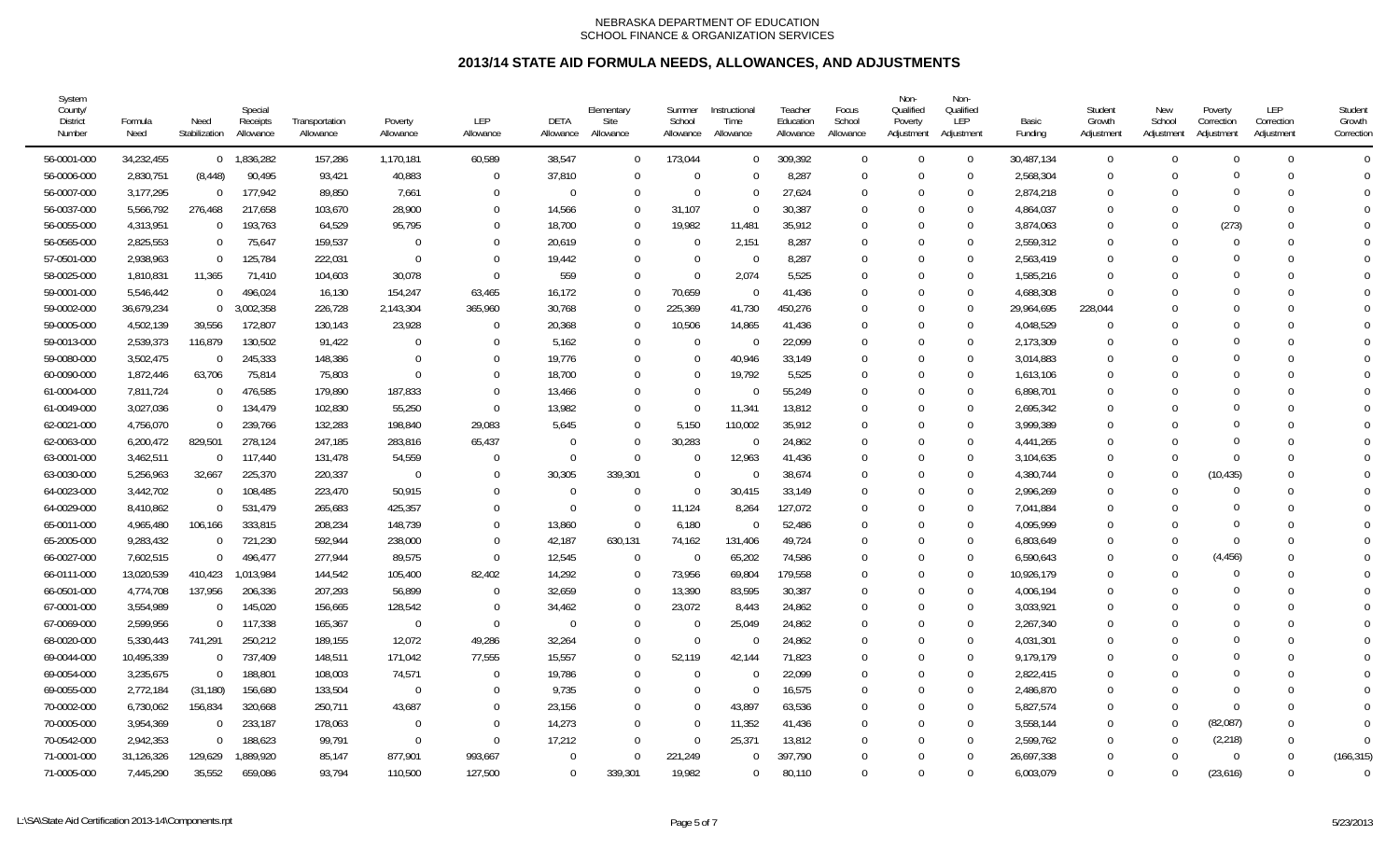| System<br>County/<br><b>District</b><br>Number | Formula<br>Need | Need<br>Stabilization | Special<br>Receipts<br>Allowance | Transportation<br>Allowance | Poverty<br>Allowance | LEP<br>Allowance | DETA<br>Allowance | Elementary<br>Site<br>Allowance | Summer<br>School<br>Allowance | Instructional<br>Time<br>Allowance | Teacher<br>Education<br>Allowance | Focus<br>School<br>Allowance | Non-<br>Qualified<br>Poverty<br>Adjustment | Non-<br>Qualified<br>LEP<br>Adjustment | Basic<br>Funding | Student<br>Growth<br>Adjustment | New<br>School<br>Adjustment | Poverty<br>Correction<br>Adjustment | LEP<br>Correction<br>Adjustment | Student<br>Growth<br>Correction |
|------------------------------------------------|-----------------|-----------------------|----------------------------------|-----------------------------|----------------------|------------------|-------------------|---------------------------------|-------------------------------|------------------------------------|-----------------------------------|------------------------------|--------------------------------------------|----------------------------------------|------------------|---------------------------------|-----------------------------|-------------------------------------|---------------------------------|---------------------------------|
| 56-0001-000                                    | 34,232,455      |                       | $0$ 1,836,282                    | 157,286                     | 1,170,181            | 60,589           | 38.547            | $\Omega$                        | 173,044                       | $\Omega$                           | 309,392                           | $\overline{0}$               | $\Omega$                                   | $\overline{0}$                         | 30,487,134       | $\mathbf{0}$                    | $\Omega$                    | $\Omega$                            | $\Omega$                        | $\Omega$                        |
| 56-0006-000                                    | 2,830,751       | (8, 448)              | 90,495                           | 93,421                      | 40,883               | $\Omega$         | 37,810            |                                 | $\Omega$                      | $\Omega$                           | 8,287                             | $\Omega$                     | $\Omega$                                   | $\Omega$                               | 2,568,304        | $\Omega$                        | $\Omega$                    |                                     |                                 | $\Omega$                        |
| 56-0007-000                                    | 3,177,295       | - 0                   | 177,942                          | 89,850                      | 7,661                | $\mathbf 0$      | 0                 |                                 | $\Omega$                      | $\Omega$                           | 27,624                            | $\mathbf 0$                  | $\Omega$                                   | $\mathbf{0}$                           | 2,874,218        | $\Omega$                        | $\Omega$                    |                                     |                                 | $\Omega$                        |
| 56-0037-000                                    | 5,566,792       | 276,468               | 217,658                          | 103,670                     | 28,900               | $\Omega$         | 14,566            |                                 | 31,107                        | $\Omega$                           | 30,387                            | $\mathbf 0$                  | $\Omega$                                   | $\mathbf{0}$                           | 4,864,037        | $\Omega$                        | $\Omega$                    |                                     | 0                               | $\Omega$                        |
| 56-0055-000                                    | 4,313,951       | $\overline{0}$        | 193,763                          | 64,529                      | 95,795               | $\Omega$         | 18,700            |                                 | 19,982                        | 11,481                             | 35,912                            | $\Omega$                     | $\Omega$                                   | $\mathbf 0$                            | 3,874,063        | $\Omega$                        | $\Omega$                    | (273)                               | $\Omega$                        | $\Omega$                        |
| 56-0565-000                                    | 2,825,553       | $\overline{0}$        | 75,647                           | 159,537                     | $\overline{0}$       | $\Omega$         | 20,619            |                                 | - 0                           | 2,151                              | 8,287                             | $\Omega$                     | $\Omega$                                   | $\mathbf{0}$                           | 2,559,312        | $\Omega$                        | $\Omega$                    | $\Omega$                            |                                 | $\Omega$                        |
| 57-0501-000                                    | 2,938,963       | $\Omega$              | 125,784                          | 222,031                     | $\overline{0}$       | $\Omega$         | 19,442            |                                 | $\Omega$                      | $\Omega$                           | 8,287                             | $\Omega$                     | $\Omega$                                   | $\mathbf{0}$                           | 2,563,419        | $\Omega$                        | $\Omega$                    |                                     |                                 | $\Omega$                        |
| 58-0025-000                                    | 1,810,831       | 11,365                | 71,410                           | 104,603                     | 30,078               | $\Omega$         | 559               |                                 | $\Omega$                      | 2,074                              | 5,525                             | 0                            | $\Omega$                                   | $\mathbf{0}$                           | 1,585,216        | <sup>0</sup>                    | $\Omega$                    |                                     |                                 |                                 |
| 59-0001-000                                    | 5,546,442       | $\overline{0}$        | 496,024                          | 16,130                      | 154,247              | 63,465           | 16,172            |                                 | 70,659                        | $\Omega$                           | 41,436                            | 0                            | $\Omega$                                   | $\mathbf{0}$                           | 4,688,308        | $\Omega$                        | $\Omega$                    |                                     |                                 | $\Omega$                        |
| 59-0002-000                                    | 36,679,234      | $\mathbf{0}$          | 3,002,358                        | 226,728                     | 2,143,304            | 365,960          | 30,768            | $\Omega$                        | 225,369                       | 41,730                             | 450,276                           | $\Omega$                     | $\Omega$                                   | $\Omega$                               | 29,964,695       | 228,044                         | $\Omega$                    |                                     | U                               | $\Omega$                        |
| 59-0005-000                                    | 4.502.139       | 39,556                | 172,807                          | 130.143                     | 23,928               | $\Omega$         | 20,368            |                                 | 10,506                        | 14,865                             | 41,436                            | $\Omega$                     | $\Omega$                                   | $\Omega$                               | 4.048.529        | $\Omega$                        | $\Omega$                    |                                     |                                 | $\Omega$                        |
| 59-0013-000                                    | 2,539,373       | 116,879               | 130,502                          | 91,422                      | $\Omega$             | $\Omega$         | 5,162             |                                 | $\Omega$                      |                                    | 22,099                            | $\Omega$                     | $\Omega$                                   | $\mathbf 0$                            | 2,173,309        |                                 | $\Omega$                    |                                     |                                 | $\Omega$                        |
| 59-0080-000                                    | 3,502,475       | - 0                   | 245,333                          | 148,386                     | - 0                  | $\Omega$         | 19,776            |                                 | $\Omega$                      | 40,946                             | 33,149                            | $\mathbf 0$                  | $\Omega$                                   | $\mathbf{0}$                           | 3,014,883        | $\Omega$                        | $\cup$                      |                                     |                                 |                                 |
| 60-0090-000                                    | 1,872,446       | 63,706                | 75,814                           | 75,803                      | $\overline{0}$       | $\Omega$         | 18,700            |                                 | $\Omega$                      | 19,792                             | 5,525                             | $\mathbf 0$                  | $\Omega$                                   | $\mathbf{0}$                           | 1,613,106        | $\Omega$                        | $\Omega$                    |                                     |                                 | $\Omega$                        |
| 61-0004-000                                    | 7,811,724       | $\overline{0}$        | 476,585                          | 179,890                     | 187,833              | $\Omega$         | 13,466            |                                 | $\Omega$                      | $\Omega$                           | 55,249                            | $\Omega$                     | $\Omega$                                   | $\mathbf 0$                            | 6,898,701        | $\Omega$                        | $\Omega$                    |                                     |                                 | $\theta$                        |
| 61-0049-000                                    | 3,027,036       | $\Omega$              | 134,479                          | 102,830                     | 55,250               | $\Omega$         | 13,982            |                                 | $\Omega$                      | 11,341                             | 13,812                            | $\Omega$                     | $\Omega$                                   | $\mathbf{0}$                           | 2,695,342        | $\Omega$                        | $\Omega$                    |                                     |                                 | $\Omega$                        |
| 62-0021-000                                    | 4,756,070       | - 0                   | 239,766                          | 132,283                     | 198,840              | 29,083           | 5,645             |                                 | 5,150                         | 110,002                            | 35,912                            | $\Omega$                     | $\Omega$                                   | $\mathbf{0}$                           | 3,999,389        | $\Omega$                        | $\Omega$                    |                                     |                                 | $\Omega$                        |
| 62-0063-000                                    | 6,200,472       | 829,501               | 278,124                          | 247,185                     | 283,816              | 65,437           | -0                |                                 | 30,283                        | $\Omega$                           | 24,862                            | 0                            | $\Omega$                                   | $\mathbf{0}$                           | 4,441,265        | <sup>0</sup>                    | $\Omega$                    |                                     |                                 |                                 |
| 63-0001-000                                    | 3,462,511       | $\Omega$              | 117,440                          | 131,478                     | 54,559               | $\Omega$         | $\Omega$          | $\Omega$                        | $\Omega$                      | 12,963                             | 41,436                            | 0                            | $\Omega$                                   | $\mathbf 0$                            | 3,104,635        | $\Omega$                        | $\Omega$                    |                                     |                                 | $\Omega$                        |
| 63-0030-000                                    | 5,256,963       | 32,667                | 225,370                          | 220,337                     | $\overline{0}$       | $\Omega$         | 30,305            | 339,301                         | $\Omega$                      | $\Omega$                           | 38,674                            | $\Omega$                     | $\Omega$                                   | $\Omega$                               | 4,380,744        | $\Omega$                        | $\Omega$                    | (10, 435)                           | $\Omega$                        | $\Omega$                        |
| 64-0023-000                                    | 3,442,702       | $\overline{0}$        | 108,485                          | 223,470                     | 50,915               | $\Omega$         | $\Omega$          |                                 | $\Omega$                      | 30.415                             | 33,149                            | $\Omega$                     | $\Omega$                                   | $\Omega$                               | 2,996,269        | $\Omega$                        | $\Omega$                    |                                     |                                 | $\Omega$                        |
| 64-0029-000                                    | 8,410,862       | $\overline{0}$        | 531,479                          | 265,683                     | 425,357              | $\Omega$         | $\Omega$          | $\Omega$                        | 11,124                        | 8,264                              | 127,072                           | $\Omega$                     | $\Omega$                                   | $\Omega$                               | 7.041.884        | $\Omega$                        | $\Omega$                    |                                     |                                 | $\Omega$                        |
| 65-0011-000                                    | 4,965,480       | 106,166               | 333,815                          | 208,234                     | 148,739              | $\Omega$         | 13,860            | $\Omega$                        | 6,180                         | $\Omega$                           | 52,486                            | $\Omega$                     | $\Omega$                                   | $\mathbf 0$                            | 4,095,999        | $\Omega$                        | $\Omega$                    |                                     |                                 | $\Omega$                        |
| 65-2005-000                                    | 9,283,432       | $\overline{0}$        | 721,230                          | 592,944                     | 238,000              | $\Omega$         | 42,187            | 630,131                         | 74,162                        | 131,406                            | 49,724                            | 0                            | $\Omega$                                   | $\mathbf 0$                            | 6,803,649        | $\Omega$                        | $\Omega$                    | $\Omega$                            |                                 | $\Omega$                        |
| 66-0027-000                                    | 7,602,515       | $\Omega$              | 496,477                          | 277,944                     | 89,575               | $\Omega$         | 12,545            | $\Omega$                        | $\overline{0}$                | 65,202                             | 74,586                            | $\Omega$                     | $\Omega$                                   | $\mathbf 0$                            | 6,590,643        | $\Omega$                        | $\Omega$                    | (4, 456)                            | 0                               | $\Omega$                        |
| 66-0111-000                                    | 13,020,539      | 410,423               | 1,013,984                        | 144,542                     | 105,400              | 82,402           | 14,292            |                                 | 73,956                        | 69,804                             | 179,558                           | $\Omega$                     | $\Omega$                                   | $\mathbf{0}$                           | 10,926,179       | $\Omega$                        | $\Omega$                    |                                     |                                 | $\Omega$                        |
| 66-0501-000                                    | 4,774,708       | 137,956               | 206,336                          | 207,293                     | 56,899               | $\Omega$         | 32,659            |                                 | 13,390                        | 83,595                             | 30,387                            | $\mathbf 0$                  | $\Omega$                                   | $\mathbf{0}$                           | 4,006,194        | $\Omega$                        | $\Omega$                    |                                     |                                 | $\Omega$                        |
| 67-0001-000                                    | 3,554,989       | - 0                   | 145,020                          | 156,665                     | 128,542              | $\Omega$         | 34,462            |                                 | 23,072                        | 8,443                              | 24,862                            | 0                            | $\Omega$                                   | $\mathbf{0}$                           | 3,033,921        | <sup>0</sup>                    | $\Omega$                    |                                     |                                 |                                 |
| 67-0069-000                                    | 2,599,956       | $\Omega$              | 117,338                          | 165,367                     | $\overline{0}$       | $\Omega$         | $\Omega$          |                                 | - 0                           | 25,049                             | 24,862                            | 0                            | $\Omega$                                   | $\mathbf 0$                            | 2,267,340        | $\Omega$                        | $\Omega$                    |                                     |                                 | $\Omega$                        |
| 68-0020-000                                    | 5,330,443       | 741,291               | 250,212                          | 189,155                     | 12,072               | 49,286           | 32,264            |                                 | $\Omega$                      | $\cup$                             | 24,862                            | $\Omega$                     | $\Omega$                                   | $\Omega$                               | 4,031,301        | 0                               | $\Omega$                    |                                     |                                 | $\Omega$                        |
| 69-0044-000                                    | 10,495,339      | $\overline{0}$        | 737,409                          | 148,511                     | 171,042              | 77,555           | 15,557            |                                 | 52,119                        | 42,144                             | 71,823                            | $\Omega$                     | $\Omega$                                   | $\Omega$                               | 9,179,179        | $\Omega$                        | $\Omega$                    |                                     |                                 | $\Omega$                        |
| 69-0054-000                                    | 3,235,675       | $\overline{0}$        | 188,801                          | 108,003                     | 74,571               | $\Omega$         | 19,786            |                                 | $\Omega$                      | $\Omega$                           | 22,099                            | $\Omega$                     | $\Omega$                                   | $\Omega$                               | 2,822,415        | $\Omega$                        | $\Omega$                    |                                     |                                 | $\Omega$                        |
| 69-0055-000                                    | 2,772,184       | (31, 180)             | 156,680                          | 133,504                     | - 0                  | $\Omega$         | 9,735             |                                 | $\Omega$                      | $\Omega$                           | 16,575                            | $\Omega$                     | $\Omega$                                   | $\mathbf{0}$                           | 2,486,870        | $\Omega$                        | $\Omega$                    |                                     |                                 | $\Omega$                        |
| 70-0002-000                                    | 6,730,062       | 156,834               | 320,668                          | 250,711                     | 43,687               | $\Omega$         | 23,156            |                                 | $\Omega$                      | 43,897                             | 63,536                            | $\Omega$                     | $\Omega$                                   | $\mathbf 0$                            | 5,827,574        | $\Omega$                        | $\Omega$                    | $\Omega$                            |                                 | $\Omega$                        |
| 70-0005-000                                    | 3,954,369       | $\overline{0}$        | 233,187                          | 178,063                     | $\overline{0}$       | $\Omega$         | 14,273            |                                 | $\Omega$                      | 11,352                             | 41,436                            | $\mathbf 0$                  | $\Omega$                                   | $\mathbf{0}$                           | 3,558,144        | $\Omega$                        | $\Omega$                    | (82,087)                            | $\Omega$                        | $\theta$                        |
| 70-0542-000                                    | 2,942,353       | $\Omega$              | 188,623                          | 99,791                      | $\overline{0}$       | $\Omega$         | 17,212            |                                 | $\overline{0}$                | 25,37'                             | 13,812                            | $\Omega$                     | $\Omega$                                   | $\mathbf{0}$                           | 2,599,762        | $\Omega$                        | $\Omega$                    | (2,218)                             | $\Omega$                        | $\overline{0}$                  |
| 71-0001-000                                    | 31,126,326      | 129,629               | 1,889,920                        | 85,147                      | 877,901              | 993,667          | $\Omega$          |                                 | 221,249                       |                                    | 397,790                           | $\Omega$                     | $\Omega$                                   | $\Omega$                               | 26,697,338       | $\Omega$                        | $\Omega$                    | $\Omega$                            | $\Omega$                        | (166, 315)                      |
| 71-0005-000                                    | 7,445,290       | 35,552                | 659.086                          | 93.794                      | 110.500              | 127,500          | $\Omega$          | 339.301                         | 19.982                        | $\Omega$                           | 80.110                            | $\Omega$                     | $\Omega$                                   | $\Omega$                               | 6.003.079        | $\Omega$                        | $\Omega$                    | (23,616)                            | $\Omega$                        | $\Omega$                        |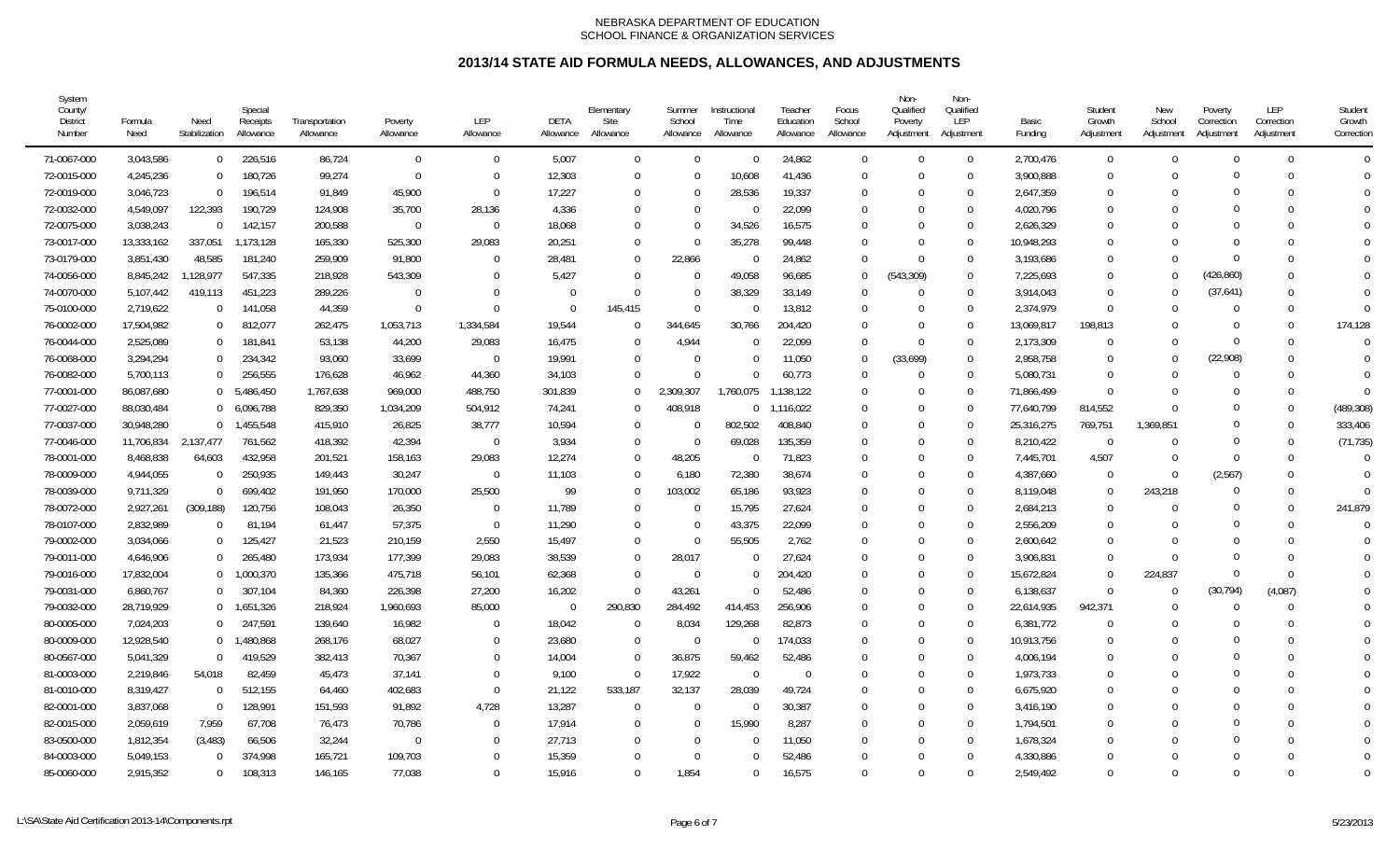| System<br>County/<br><b>District</b><br>Number | Formula<br>Need | Need<br>Stabilization | Special<br>Receipts<br>Allowance | Transportation<br>Allowance | Poverty<br>Allowance | <b>LEP</b><br>Allowance | <b>DETA</b><br>Allowance | Elementary<br>Site<br>Allowance | Summer<br>School<br>Allowance | Instructional<br>Time<br>Allowance | Teacher<br>Education<br>Allowance | Focus<br>School<br>Allowance | Non-<br>Qualified<br>Poverty<br>Adjustment | Non-<br>Qualified<br><b>LEP</b><br>Adjustment | Basic<br>Fundina | Student<br>Growth<br>Adjustment | New<br>School<br>Adiustment | Poverty<br>Correction<br>Adiustment | LEP<br>Correction<br>Adiustment | Student<br>Growth<br>Correction |
|------------------------------------------------|-----------------|-----------------------|----------------------------------|-----------------------------|----------------------|-------------------------|--------------------------|---------------------------------|-------------------------------|------------------------------------|-----------------------------------|------------------------------|--------------------------------------------|-----------------------------------------------|------------------|---------------------------------|-----------------------------|-------------------------------------|---------------------------------|---------------------------------|
| 71-0067-000                                    | 3,043,586       | $\overline{0}$        | 226,516                          | 86,724                      | $\overline{0}$       | $\Omega$                | 5,007                    |                                 | $\Omega$                      | $\Omega$                           | 24,862                            | $\Omega$                     | $\Omega$                                   | $\overline{0}$                                | 2,700,476        | $\Omega$                        | $\Omega$                    | $\Omega$                            | $\Omega$                        | $\Omega$                        |
| 72-0015-000                                    | 4,245,236       | $\overline{0}$        | 180,726                          | 99,274                      | $\overline{0}$       | $\Omega$                | 12,303                   |                                 | $\Omega$                      | 10,608                             | 41,436                            | $\overline{0}$               | $\Omega$                                   | $\mathbf{0}$                                  | 3,900,888        | $\Omega$                        | $\Omega$                    |                                     | O                               | $\Omega$                        |
| 72-0019-000                                    | 3,046,723       | $\overline{0}$        | 196,514                          | 91,849                      | 45,900               | $\Omega$                | 17,227                   |                                 | $\Omega$                      | 28,536                             | 19,337                            | $\mathbf 0$                  | $\Omega$                                   | $\mathbf{0}$                                  | 2,647,359        | $\Omega$                        | $\Omega$                    |                                     | $\Omega$                        | $\Omega$                        |
| 72-0032-000                                    | 4,549,097       | 122,393               | 190,729                          | 124,908                     | 35,700               | 28,136                  | 4,336                    |                                 | $\overline{0}$                | $\Omega$                           | 22,099                            | $\mathbf 0$                  | $\Omega$                                   | $\mathbf 0$                                   | 4,020,796        | $\Omega$                        | $\Omega$                    |                                     |                                 | $\theta$                        |
| 72-0075-000                                    | 3,038,243       | $\overline{0}$        | 142,157                          | 200,588                     | $\overline{0}$       | $\mathbf 0$             | 18,068                   |                                 | $\Omega$                      | 34,526                             | 16,575                            | $\Omega$                     | $\Omega$                                   | $\mathbf 0$                                   | 2,626,329        | 0                               | $\Omega$                    |                                     |                                 | $\Omega$                        |
| 73-0017-000                                    | 13,333,162      | 337,051               | 1,173,128                        | 165,330                     | 525,300              | 29,083                  | 20,251                   |                                 | $\Omega$                      | 35,278                             | 99,448                            | 0                            | $\Omega$                                   | $\theta$                                      | 10,948,293       | <sup>0</sup>                    | $\Omega$                    |                                     |                                 | $\Omega$                        |
| 73-0179-000                                    | 3,851,430       | 48,585                | 181,240                          | 259,909                     | 91,800               | $\Omega$                | 28,481                   |                                 | 22,866                        | $\Omega$                           | 24,862                            | $\Omega$                     | $\Omega$                                   | $\mathbf{0}$                                  | 3,193,686        | $\Omega$                        | $\Omega$                    | 0                                   |                                 |                                 |
| 74-0056-000                                    | 8,845,242       | 1,128,977             | 547,335                          | 218,928                     | 543,309              | $\Omega$                | 5,427                    |                                 | - 0                           | 49,058                             | 96,685                            | $\mathbf 0$                  | (543, 309)                                 | $\mathbf{0}$                                  | 7,225,693        | $\Omega$                        | $\Omega$                    | (426, 860)                          |                                 | $\Omega$                        |
| 74-0070-000                                    | 5,107,442       | 419,113               | 451,223                          | 289,226                     | $\overline{0}$       | $\Omega$                | $\Omega$                 | $\Omega$                        | $\Omega$                      | 38,329                             | 33,149                            | $\Omega$                     | $\Omega$                                   | $\Omega$                                      | 3.914.043        | $\Omega$                        | $\Omega$                    | (37,641)                            | $\Omega$                        | $\Omega$                        |
| 75-0100-000                                    | 2,719,622       | $\Omega$              | 141,058                          | 44,359                      | $\overline{0}$       | $\Omega$                | $\Omega$                 | 145,415                         | $\Omega$                      | $\Omega$                           | 13,812                            | $\Omega$                     | $\Omega$                                   | $\Omega$                                      | 2,374,979        | $\Omega$                        | $\Omega$                    |                                     | $\Omega$                        | $\Omega$                        |
| 76-0002-000                                    | 17,504,982      | $\overline{0}$        | 812,077                          | 262,475                     | 1,053,713            | 1,334,584               | 19,544                   |                                 | 344,645                       | 30,766                             | 204,420                           | $\Omega$                     | $\Omega$                                   | $\mathbf{0}$                                  | 13,069,817       | 198,813                         | $\Omega$                    |                                     | $\Omega$                        | 174,128                         |
| 76-0044-000                                    | 2,525,089       | $\overline{0}$        | 181,841                          | 53,138                      | 44,200               | 29,083                  | 16,475                   |                                 | 4,944                         | U                                  | 22,099                            | $\overline{0}$               | $\Omega$                                   | $\mathbf{0}$                                  | 2,173,309        | $\Omega$                        | $\Omega$                    | $\Omega$                            | O                               | $\Omega$                        |
| 76-0068-000                                    | 3,294,294       | $\mathbf 0$           | 234,342                          | 93,060                      | 33,699               | $\overline{0}$          | 19,991                   |                                 | $\Omega$                      | $\Omega$                           | 11,050                            | $\mathbf 0$                  | (33,699)                                   | $\mathbf{0}$                                  | 2,958,758        | $\Omega$                        | $\Omega$                    | (22,908)                            | $\Omega$                        | $\Omega$                        |
| 76-0082-000                                    | 5,700,113       | $\Omega$              | 256,555                          | 176,628                     | 46,962               | 44,360                  | 34,103                   |                                 | $\overline{0}$                | 0                                  | 60,773                            | $\Omega$                     | $\Omega$                                   | $\mathbf{0}$                                  | 5,080,731        | $\Omega$                        | $\Omega$                    | 0                                   |                                 | $\Omega$                        |
| 77-0001-000                                    | 86,087,680      |                       | 0 5,486,450                      | 1,767,638                   | 969,000              | 488,750                 | 301,839                  |                                 | 2,309,307                     | 1,760,075                          | 1,138,122                         | $\Omega$                     | $\Omega$                                   | $\mathbf{0}$                                  | 71,866,499       | $\Omega$                        | $\Omega$                    |                                     | $\Omega$                        | $\Omega$                        |
| 77-0027-000                                    | 88,030,484      |                       | 0 6,096,788                      | 829,350                     | 1,034,209            | 504,912                 | 74,241                   |                                 | 408,918                       | $\Omega$                           | 1,116,022                         | $\Omega$                     | $\Omega$                                   | $\mathbf{0}$                                  | 77,640,799       | 814,552                         | $\Omega$                    |                                     | $\Omega$                        | (489, 308)                      |
| 77-0037-000                                    | 30,948,280      |                       | $0$ 1,455,548                    | 415,910                     | 26,825               | 38,777                  | 10,594                   |                                 | $\Omega$                      | 802,502                            | 408,840                           | $\Omega$                     | $\Omega$                                   | $\mathbf{0}$                                  | 25,316,275       | 769,751                         | 1,369,851                   | 0                                   | $\Omega$                        | 333,406                         |
| 77-0046-000                                    | 11,706,834      | 2.137.477             | 761,562                          | 418,392                     | 42,394               | $\overline{0}$          | 3,934                    |                                 | $\overline{0}$                | 69,028                             | 135,359                           | $\Omega$                     | $\Omega$                                   | $\Omega$                                      | 8,210,422        | $\bigcap$                       | $\Omega$                    | $\Omega$                            | $\Omega$                        | (71, 735)                       |
| 78-0001-000                                    | 8,468,838       | 64,603                | 432,958                          | 201,521                     | 158,163              | 29,083                  | 12,274                   |                                 | 48,205                        | $\Omega$                           | 71,823                            | 0                            | $\Omega$                                   | $\Omega$                                      | 7,445,701        | 4,507                           | $\Omega$                    | $\Omega$                            | $\Omega$                        | $\Omega$                        |
| 78-0009-000                                    | 4,944,055       | - 0                   | 250,935                          | 149,443                     | 30,247               | $\mathbf 0$             | 11,103                   |                                 | 6,180                         | 72,380                             | 38,674                            | $\Omega$                     | $\Omega$                                   | $\mathbf{0}$                                  | 4,387,660        | $\Omega$                        | $\Omega$                    | (2,567)                             | $\Omega$                        | $\Omega$                        |
| 78-0039-000                                    | 9,711,329       | $\Omega$              | 699,402                          | 191,950                     | 170,000              | 25,500                  | 99                       |                                 | 103,002                       | 65,186                             | 93,923                            | $\Omega$                     | $\Omega$                                   | $\mathbf{0}$                                  | 8,119,048        | $\Omega$                        | 243,218                     |                                     |                                 | $\Omega$                        |
| 78-0072-000                                    | 2,927,261       | (309, 188)            | 120,756                          | 108,043                     | 26,350               | $\mathbf 0$             | 11,789                   |                                 | $\Omega$                      | 15,795                             | 27,624                            | $\mathbf 0$                  | $\Omega$                                   | $\mathbf{0}$                                  | 2,684,213        | $\Omega$                        | $\Omega$                    |                                     | $\Omega$                        | 241,879                         |
| 78-0107-000                                    | 2,832,989       | $\overline{0}$        | 81,194                           | 61,447                      | 57,375               | $\mathbf{0}$            | 11,290                   |                                 | $\Omega$                      | 43,375                             | 22,099                            | $\Omega$                     | $\Omega$                                   | $\mathbf{0}$                                  | 2,556,209        | 0                               | $\Omega$                    |                                     |                                 | $\Omega$                        |
| 79-0002-000                                    | 3,034,066       | $\overline{0}$        | 125,427                          | 21,523                      | 210,159              | 2,550                   | 15,497                   |                                 | $\Omega$                      | 55,505                             | 2,762                             | $\Omega$                     | $\Omega$                                   | $\mathbf{0}$                                  | 2,600,642        | $\Omega$                        | $\Omega$                    | $\Omega$                            |                                 | $\Omega$                        |
| 79-0011-000                                    | 4,646,906       | $\Omega$              | 265,480                          | 173,934                     | 177,399              | 29,083                  | 38,539                   |                                 | 28,017                        | $\Omega$                           | 27,624                            | $\Omega$                     | $\Omega$                                   | $\Omega$                                      | 3,906,831        | $\Omega$                        | $\Omega$                    |                                     |                                 | $\Omega$                        |
| 79-0016-000                                    | 17,832,004      |                       | 0 1,000,370                      | 135,366                     | 475,718              | 56,101                  | 62,368                   |                                 | $\Omega$                      | $\Omega$                           | 204,420                           | $\Omega$                     | $\Omega$                                   | $\Omega$                                      | 15,672,824       | $\Omega$                        | 224,837                     |                                     | $\Omega$                        | $\Omega$                        |
| 79-0031-000                                    | 6,860,767       | $\mathbf 0$           | 307,104                          | 84,360                      | 226,398              | 27,200                  | 16,202                   |                                 | 43,261                        | U                                  | 52,486                            | $\Omega$                     | $\Omega$                                   | $\Omega$                                      | 6,138,637        | $\Omega$                        | $\Omega$                    | (30, 794)                           | (4,087)                         | $\Omega$                        |
| 79-0032-000                                    | 28,719,929      |                       | $0$ 1,651,326                    | 218,924                     | 1,960,693            | 85,000                  | $\overline{0}$           | 290,830                         | 284,492                       | 414,453                            | 256,906                           | 0                            | $\Omega$                                   | $\mathbf{0}$                                  | 22,614,935       | 942,371                         | $\Omega$                    |                                     | U                               | $\Omega$                        |
| 80-0005-000                                    | 7,024,203       | $\overline{0}$        | 247,591                          | 139,640                     | 16,982               | $\Omega$                | 18,042                   | $\Omega$                        | 8,034                         | 129,268                            | 82,873                            | $\Omega$                     | $\Omega$                                   | $\mathbf 0$                                   | 6,381,772        | $\Omega$                        | $\Omega$                    | O                                   | $\Omega$                        | $\Omega$                        |
| 80-0009-000                                    | 12,928,540      |                       | $0$ 1,480,868                    | 268,176                     | 68,027               | $\Omega$                | 23,680                   |                                 | $\Omega$                      | $\Omega$                           | 174,033                           | $\Omega$                     | $\Omega$                                   | $\mathbf{0}$                                  | 10,913,756       | $\Omega$                        | $\Omega$                    |                                     |                                 | $\theta$                        |
| 80-0567-000                                    | 5,041,329       | $\Omega$              | 419,529                          | 382,413                     | 70,367               | $\Omega$                | 14,004                   |                                 | 36,875                        | 59,462                             | 52,486                            | $\Omega$                     | $\Omega$                                   | $\mathbf{0}$                                  | 4,006,194        | $\Omega$                        | $\Omega$                    |                                     |                                 | $\Omega$                        |
| 81-0003-000                                    | 2,219,846       | 54,018                | 82,459                           | 45,473                      | 37,141               | $\Omega$                | 9,100                    | $\Omega$                        | 17,922                        | $\Omega$                           | $\Omega$                          | $\Omega$                     | $\Omega$                                   | $\mathbf{0}$                                  | 1,973,733        | <sup>0</sup>                    | $\Omega$                    |                                     |                                 | $\Omega$                        |
| 81-0010-000                                    | 8,319,427       | $\overline{0}$        | 512,155                          | 64,460                      | 402,683              | $\Omega$                | 21,122                   | 533,187                         | 32,137                        | 28,039                             | 49,724                            | 0                            | $\Omega$                                   | $\mathbf 0$                                   | 6,675,920        | <sup>0</sup>                    | $\Omega$                    |                                     |                                 | $\Omega$                        |
| 82-0001-000                                    | 3,837,068       | $\overline{0}$        | 128,991                          | 151,593                     | 91,892               | 4,728                   | 13,287                   | $\Omega$                        | $\overline{0}$                | $\Omega$                           | 30,387                            | $\Omega$                     | $\Omega$                                   | $\Omega$                                      | 3,416,190        | $\Omega$                        | $\Omega$                    |                                     |                                 | $\Omega$                        |
| 82-0015-000                                    | 2,059,619       | 7,959                 | 67,708                           | 76,473                      | 70,786               | $\Omega$                | 17.914                   |                                 | $\Omega$                      | 15.990                             | 8,287                             | $\Omega$                     | $\Omega$                                   | $\Omega$                                      | 1,794,501        | $\Omega$                        | $\Omega$                    |                                     |                                 | $\Omega$                        |
| 83-0500-000                                    | 1,812,354       | (3, 483)              | 66,506                           | 32,244                      | - 0                  | $\Omega$                | 27,713                   |                                 | $\Omega$                      | $\Omega$                           | 11,050                            | $\Omega$                     | $\Omega$                                   | $\Omega$                                      | 1,678,324        | $\Omega$                        | $\Omega$                    |                                     |                                 | $\Omega$                        |
| 84-0003-000                                    | 5,049,153       | - 0                   | 374,998                          | 165,721                     | 109,703              | $\Omega$                | 15,359                   |                                 | $\cap$                        |                                    | 52,486                            | $\Omega$                     | $\Omega$                                   | $\Omega$                                      | 4,330,886        | $\Omega$                        | $\Omega$                    |                                     |                                 | $\Omega$                        |
| 85-0060-000                                    | 2,915,352       | $\mathbf{0}$          | 108,313                          | 146,165                     | 77,038               | $\Omega$                | 15,916                   |                                 | 1,854                         | 0                                  | 16,575                            | $\theta$                     | $\Omega$                                   | $\Omega$                                      | 2,549,492        | $\Omega$                        | $\Omega$                    |                                     | $\Omega$                        | $\theta$                        |